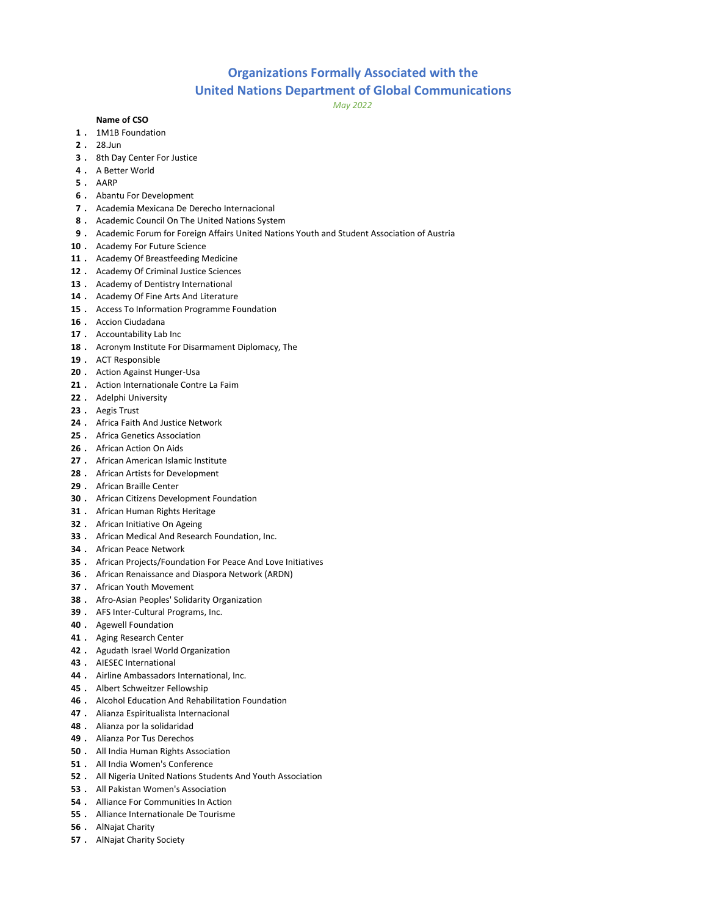## Organizations Formally Associated with the

## United Nations Department of Global Communications

May 2022

## Name of CSO

- . 1M1B Foundation
- . 28.Jun
- . 8th Day Center For Justice
- . A Better World
- . AARP
- . Abantu For Development
- . Academia Mexicana De Derecho Internacional
- . Academic Council On The United Nations System
- 9. Academic Forum for Foreign Affairs United Nations Youth and Student Association of Austria
- 10 . Academy For Future Science
- 11 . Academy Of Breastfeeding Medicine
- 12 . Academy Of Criminal Justice Sciences
- 13 . Academy of Dentistry International
- 14 . Academy Of Fine Arts And Literature
- 15 . Access To Information Programme Foundation
- . Accion Ciudadana
- 17 . Accountability Lab Inc
- 18 . Acronym Institute For Disarmament Diplomacy, The
- . ACT Responsible
- 20 . Action Against Hunger-Usa
- 21 . Action Internationale Contre La Faim
- 22 . Adelphi University
- . Aegis Trust
- . Africa Faith And Justice Network
- . Africa Genetics Association
- . African Action On Aids
- 27 . African American Islamic Institute
- 28 . African Artists for Development
- . African Braille Center
- . African Citizens Development Foundation
- . African Human Rights Heritage
- . African Initiative On Ageing
- . African Medical And Research Foundation, Inc.
- . African Peace Network
- . African Projects/Foundation For Peace And Love Initiatives
- . African Renaissance and Diaspora Network (ARDN)
- . African Youth Movement
- . Afro-Asian Peoples' Solidarity Organization
- . AFS Inter-Cultural Programs, Inc.
- . Agewell Foundation
- 41 . Aging Research Center
- 42 . Agudath Israel World Organization
- . AIESEC International
- 44 . Airline Ambassadors International, Inc.
- . Albert Schweitzer Fellowship
- . Alcohol Education And Rehabilitation Foundation
- . Alianza Espiritualista Internacional
- . Alianza por la solidaridad
- . Alianza Por Tus Derechos
- . All India Human Rights Association
- . All India Women's Conference
- . All Nigeria United Nations Students And Youth Association
- . All Pakistan Women's Association
- . Alliance For Communities In Action
- . Alliance Internationale De Tourisme
- . AlNajat Charity
- . AlNajat Charity Society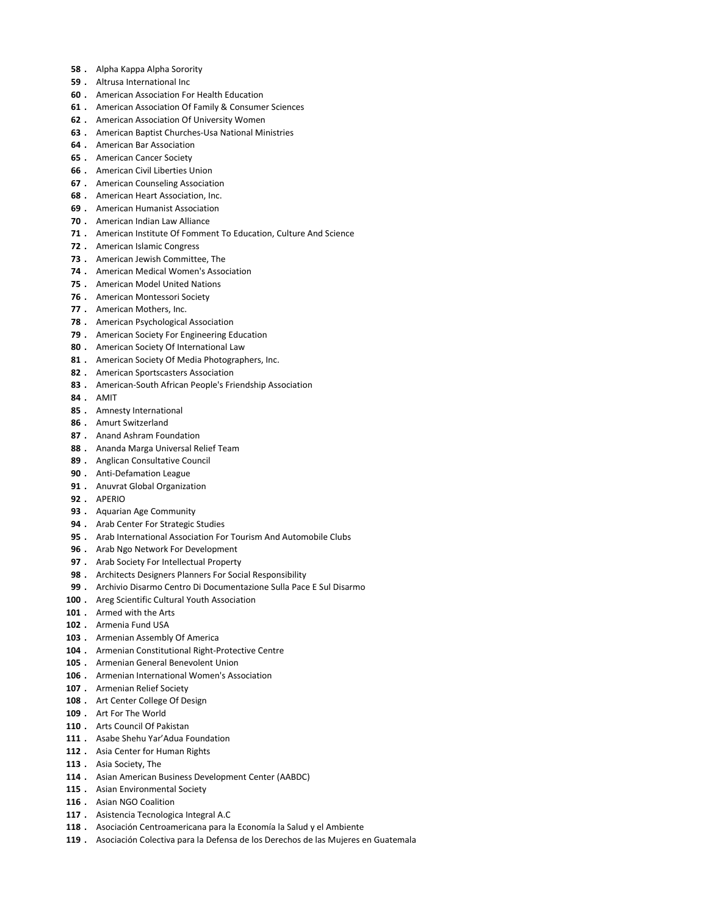- 58 . Alpha Kappa Alpha Sorority
- 59 . Altrusa International Inc
- 60 . American Association For Health Education
- 61 . American Association Of Family & Consumer Sciences
- 62 . American Association Of University Women
- 63 . American Baptist Churches-Usa National Ministries
- 64 . American Bar Association
- 65 . American Cancer Society
- 66 . American Civil Liberties Union
- 67 . American Counseling Association
- 68 . American Heart Association, Inc.
- 69 . American Humanist Association
- 70 . American Indian Law Alliance
- 71 . American Institute Of Fomment To Education, Culture And Science
- 72 . American Islamic Congress
- 73 . American Jewish Committee, The
- 74 . American Medical Women's Association
- 75 . American Model United Nations
- 76 . American Montessori Society
- 77 . American Mothers, Inc.
- 78 . American Psychological Association
- 79 . American Society For Engineering Education
- 80 . American Society Of International Law
- 81 . American Society Of Media Photographers, Inc.
- 82 . American Sportscasters Association
- 83 . American-South African People's Friendship Association
- 84 . AMIT
- 85 . Amnesty International
- 86 . Amurt Switzerland
- 87 . Anand Ashram Foundation
- 88 . Ananda Marga Universal Relief Team
- 89 . Anglican Consultative Council
- 90 . Anti-Defamation League
- 91 . Anuvrat Global Organization
- 92 . APERIO
- 93 . Aquarian Age Community
- 94 . Arab Center For Strategic Studies
- 95 . Arab International Association For Tourism And Automobile Clubs
- 96 . Arab Ngo Network For Development
- 97 . Arab Society For Intellectual Property
- 98 . Architects Designers Planners For Social Responsibility
- 99 . Archivio Disarmo Centro Di Documentazione Sulla Pace E Sul Disarmo
- 100 . Areg Scientific Cultural Youth Association
- 101 . Armed with the Arts
- 102 . Armenia Fund USA
- 103 . Armenian Assembly Of America
- 104 . Armenian Constitutional Right-Protective Centre
- 105 . Armenian General Benevolent Union
- 106 . Armenian International Women's Association
- 107 . Armenian Relief Society
- 108 . Art Center College Of Design
- 109 . Art For The World
- 110 . Arts Council Of Pakistan
- 111 . Asabe Shehu Yar'Adua Foundation
- 112 . Asia Center for Human Rights
- 113 . Asia Society, The
- 114 . Asian American Business Development Center (AABDC)
- 115 . Asian Environmental Society
- 116 . Asian NGO Coalition
- 117 . Asistencia Tecnologica Integral A.C
- 118 . Asociación Centroamericana para la Economía la Salud y el Ambiente
- 119 . Asociación Colectiva para la Defensa de los Derechos de las Mujeres en Guatemala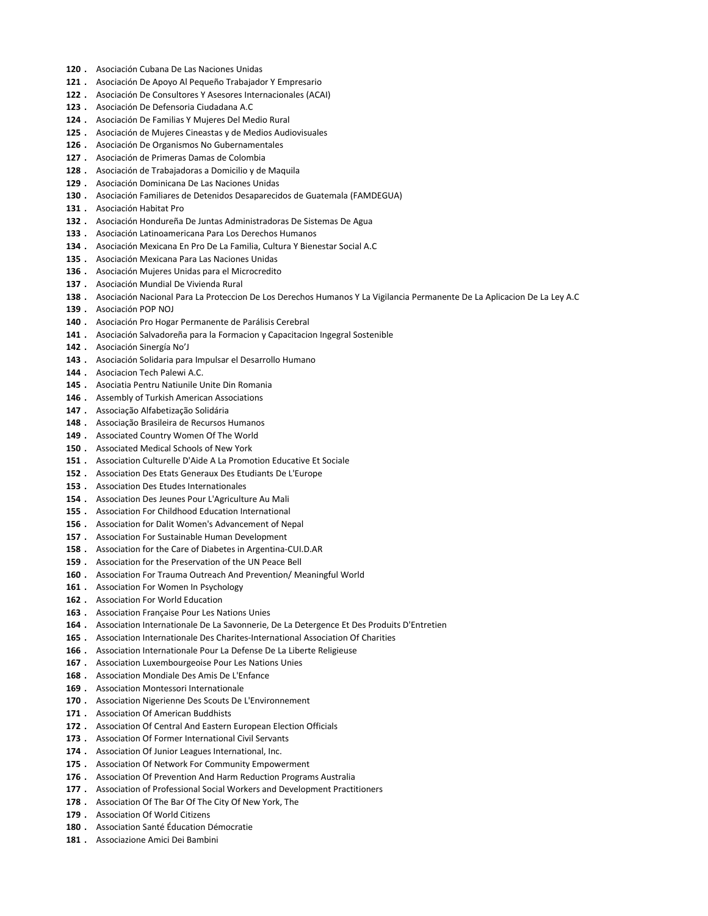- 120 . Asociación Cubana De Las Naciones Unidas
- 121 . Asociación De Apoyo Al Pequeño Trabajador Y Empresario
- 122 . Asociación De Consultores Y Asesores Internacionales (ACAI)
- 123 . Asociación De Defensoria Ciudadana A.C
- 124 . Asociación De Familias Y Mujeres Del Medio Rural
- 125 . Asociación de Mujeres Cineastas y de Medios Audiovisuales
- 126 . Asociación De Organismos No Gubernamentales
- 127 . Asociación de Primeras Damas de Colombia
- 128 . Asociación de Trabajadoras a Domicilio y de Maquila
- 129 . Asociación Dominicana De Las Naciones Unidas
- 130 . Asociación Familiares de Detenidos Desaparecidos de Guatemala (FAMDEGUA)
- 131 . Asociación Habitat Pro
- 132 . Asociación Hondureña De Juntas Administradoras De Sistemas De Agua
- 133 . Asociación Latinoamericana Para Los Derechos Humanos
- 134 . Asociación Mexicana En Pro De La Familia, Cultura Y Bienestar Social A.C
- 135 . Asociación Mexicana Para Las Naciones Unidas
- 136 . Asociación Mujeres Unidas para el Microcredito
- 137 . Asociación Mundial De Vivienda Rural
- 138 . Asociación Nacional Para La Proteccion De Los Derechos Humanos Y La Vigilancia Permanente De La Aplicacion De La Ley A.C
- 139 . Asociación POP NOJ
- 140 . Asociación Pro Hogar Permanente de Parálisis Cerebral
- 141 . Asociación Salvadoreña para la Formacion y Capacitacion Ingegral Sostenible
- 142 . Asociación Sinergía No'J
- 143 . Asociación Solidaria para Impulsar el Desarrollo Humano
- 144 . Asociacion Tech Palewi A.C.
- 145 . Asociatia Pentru Natiunile Unite Din Romania
- 146 . Assembly of Turkish American Associations
- 147 . Associação Alfabetização Solidária
- 148 . Associação Brasileira de Recursos Humanos
- 149 . Associated Country Women Of The World
- 150 . Associated Medical Schools of New York
- 151 . Association Culturelle D'Aide A La Promotion Educative Et Sociale
- 152 . Association Des Etats Generaux Des Etudiants De L'Europe
- 153 . Association Des Etudes Internationales
- 154 . Association Des Jeunes Pour L'Agriculture Au Mali
- 155 . Association For Childhood Education International
- 156 . Association for Dalit Women's Advancement of Nepal
- 157 . Association For Sustainable Human Development
- 158 . Association for the Care of Diabetes in Argentina-CUI.D.AR
- 159 . Association for the Preservation of the UN Peace Bell
- 160 . Association For Trauma Outreach And Prevention/ Meaningful World
- 161 . Association For Women In Psychology
- 162 . Association For World Education
- 163 . Association Française Pour Les Nations Unies
- 164 . Association Internationale De La Savonnerie, De La Detergence Et Des Produits D'Entretien
- 165 . Association Internationale Des Charites-International Association Of Charities
- 166 . Association Internationale Pour La Defense De La Liberte Religieuse
- 167 . Association Luxembourgeoise Pour Les Nations Unies
- 168 . Association Mondiale Des Amis De L'Enfance
- 169 . Association Montessori Internationale
- 170 . Association Nigerienne Des Scouts De L'Environnement
- 171 . Association Of American Buddhists
- 172 . Association Of Central And Eastern European Election Officials
- 173 . Association Of Former International Civil Servants
- 174 . Association Of Junior Leagues International, Inc.
- 175 . Association Of Network For Community Empowerment
- 176 . Association Of Prevention And Harm Reduction Programs Australia
- 177 . Association of Professional Social Workers and Development Practitioners
- 178 . Association Of The Bar Of The City Of New York, The
- 179 . Association Of World Citizens
- 180 . Association Santé Éducation Démocratie
- 181 . Associazione Amici Dei Bambini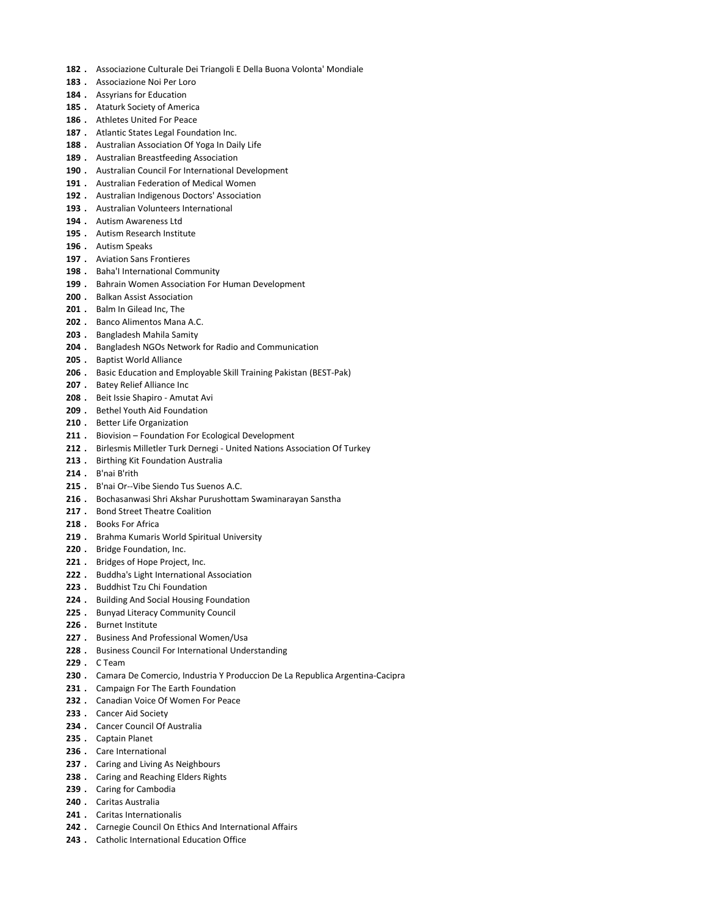- 182 . Associazione Culturale Dei Triangoli E Della Buona Volonta' Mondiale
- 183 . Associazione Noi Per Loro
- 184 . Assyrians for Education
- 185 . Ataturk Society of America
- 186 . Athletes United For Peace
- 187 . Atlantic States Legal Foundation Inc.
- 188 . Australian Association Of Yoga In Daily Life
- 189 . Australian Breastfeeding Association
- 190 . Australian Council For International Development
- 191 . Australian Federation of Medical Women
- 192 . Australian Indigenous Doctors' Association
- 193 . Australian Volunteers International
- 194 . Autism Awareness Ltd
- 195 . Autism Research Institute
- 196 . Autism Speaks
- 197 . Aviation Sans Frontieres
- 198 . Baha'l International Community
- 199 . Bahrain Women Association For Human Development
- 200 . Balkan Assist Association
- 201 . Balm In Gilead Inc. The
- 202 . Banco Alimentos Mana A.C.
- 203 . Bangladesh Mahila Samity
- 204 . Bangladesh NGOs Network for Radio and Communication
- 205 . Baptist World Alliance
- 206 . Basic Education and Employable Skill Training Pakistan (BEST-Pak)
- 207 . Batey Relief Alliance Inc
- 208 . Beit Issie Shapiro Amutat Avi
- 209 . Bethel Youth Aid Foundation
- 210 . Better Life Organization
- 211 . Biovision Foundation For Ecological Development
- 212 . Birlesmis Milletler Turk Dernegi United Nations Association Of Turkey
- 213 . Birthing Kit Foundation Australia
- 214 . B'nai B'rith
- 215 . B'nai Or--Vibe Siendo Tus Suenos A.C.
- 216 . Bochasanwasi Shri Akshar Purushottam Swaminarayan Sanstha
- 217 . Bond Street Theatre Coalition
- 218 . Books For Africa
- 219 . Brahma Kumaris World Spiritual University
- 220 . Bridge Foundation, Inc.
- 221 . Bridges of Hope Project, Inc.
- 222 . Buddha's Light International Association
- 223 . Buddhist Tzu Chi Foundation
- 224 . Building And Social Housing Foundation
- 225 . Bunyad Literacy Community Council
- 226 . Burnet Institute
- 227 . Business And Professional Women/Usa
- 228 . Business Council For International Understanding
- 229 . C Team
- 230 . Camara De Comercio, Industria Y Produccion De La Republica Argentina-Cacipra
- 231 . Campaign For The Earth Foundation
- 232 . Canadian Voice Of Women For Peace
- 233 . Cancer Aid Society
- 234 . Cancer Council Of Australia
- 235 . Captain Planet
- 236 . Care International
- 237 . Caring and Living As Neighbours
- 238 . Caring and Reaching Elders Rights
- 239 . Caring for Cambodia
- 240 . Caritas Australia
- 241 . Caritas Internationalis
- 242 . Carnegie Council On Ethics And International Affairs
- 243 . Catholic International Education Office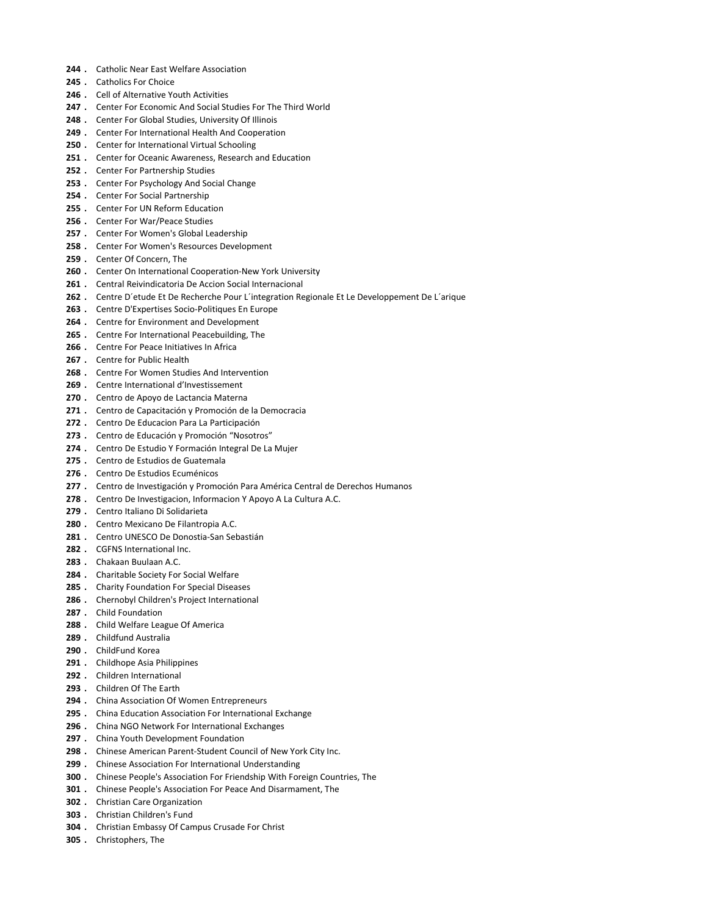- 244 . Catholic Near East Welfare Association
- 245 . Catholics For Choice
- 246 . Cell of Alternative Youth Activities
- 247 . Center For Economic And Social Studies For The Third World
- 248 . Center For Global Studies, University Of Illinois
- 249 . Center For International Health And Cooperation
- 250 . Center for International Virtual Schooling
- 251 . Center for Oceanic Awareness, Research and Education
- 252 . Center For Partnership Studies
- 253 . Center For Psychology And Social Change
- 254 . Center For Social Partnership
- 255 . Center For UN Reform Education
- 256 . Center For War/Peace Studies
- 257 . Center For Women's Global Leadership
- 258 . Center For Women's Resources Development
- 259 . Center Of Concern, The
- 260 . Center On International Cooperation-New York University
- 261 . Central Reivindicatoria De Accion Social Internacional
- 262 . Centre D'etude Et De Recherche Pour L'integration Regionale Et Le Developpement De L'arique
- 263 . Centre D'Expertises Socio-Politiques En Europe
- 264 . Centre for Environment and Development
- 265 . Centre For International Peacebuilding, The
- 266 . Centre For Peace Initiatives In Africa
- 267 . Centre for Public Health
- 268 . Centre For Women Studies And Intervention
- 269 . Centre International d'Investissement
- 270 . Centro de Apoyo de Lactancia Materna
- 271 . Centro de Capacitación y Promoción de la Democracia
- 272 . Centro De Educacion Para La Participación
- 273 . Centro de Educación y Promoción "Nosotros"
- 274 . Centro De Estudio Y Formación Integral De La Mujer
- 275 . Centro de Estudios de Guatemala
- 276 . Centro De Estudios Ecuménicos
- 277 . Centro de Investigación y Promoción Para América Central de Derechos Humanos
- 278 . Centro De Investigacion, Informacion Y Apoyo A La Cultura A.C.
- 279 . Centro Italiano Di Solidarieta
- 280 . Centro Mexicano De Filantropia A.C.
- 281 . Centro UNESCO De Donostia-San Sebastián
- 282 . CGFNS International Inc.
- 283 . Chakaan Buulaan A.C.
- 284 . Charitable Society For Social Welfare
- 285 . Charity Foundation For Special Diseases
- 286 . Chernobyl Children's Project International
- 287 . Child Foundation
- 288 . Child Welfare League Of America
- 289 . Childfund Australia
- 290 . ChildFund Korea
- 291 . Childhope Asia Philippines
- 292 . Children International
- 293 . Children Of The Earth
- 294 . China Association Of Women Entrepreneurs
- 295 . China Education Association For International Exchange
- 296 . China NGO Network For International Exchanges
- 297 . China Youth Development Foundation
- 298 . Chinese American Parent-Student Council of New York City Inc.
- 299 . Chinese Association For International Understanding
- 300 . Chinese People's Association For Friendship With Foreign Countries, The
- 301 . Chinese People's Association For Peace And Disarmament, The
- 302 . Christian Care Organization
- 303 . Christian Children's Fund
- 304 . Christian Embassy Of Campus Crusade For Christ
- 305 . Christophers, The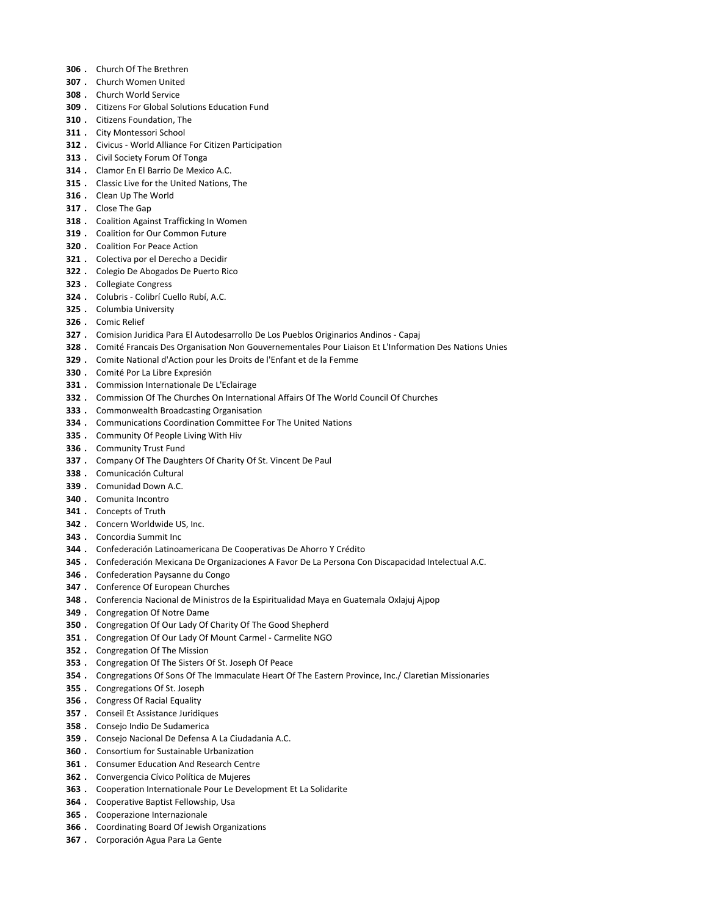- . Church Of The Brethren
- . Church Women United
- . Church World Service
- . Citizens For Global Solutions Education Fund
- . Citizens Foundation, The
- . City Montessori School
- . Civicus World Alliance For Citizen Participation
- 313 . Civil Society Forum Of Tonga
- . Clamor En El Barrio De Mexico A.C.
- . Classic Live for the United Nations, The
- 316 . Clean Up The World
- . Close The Gap
- 318 . Coalition Against Trafficking In Women
- 319 . Coalition for Our Common Future
- . Coalition For Peace Action
- . Colectiva por el Derecho a Decidir
- . Colegio De Abogados De Puerto Rico
- . Collegiate Congress
- . Colubris Colibrí Cuello Rubí, A.C.
- . Columbia University
- . Comic Relief
- . Comision Juridica Para El Autodesarrollo De Los Pueblos Originarios Andinos Capaj
- 328 . Comité Francais Des Organisation Non Gouvernementales Pour Liaison Et L'Information Des Nations Unies
- . Comite National d'Action pour les Droits de l'Enfant et de la Femme
- . Comité Por La Libre Expresión
- . Commission Internationale De L'Eclairage
- . Commission Of The Churches On International Affairs Of The World Council Of Churches
- . Commonwealth Broadcasting Organisation
- . Communications Coordination Committee For The United Nations
- . Community Of People Living With Hiv
- . Community Trust Fund
- 337 . Company Of The Daughters Of Charity Of St. Vincent De Paul
- . Comunicación Cultural
- . Comunidad Down A.C.
- . Comunita Incontro
- 341 . Concepts of Truth
- . Concern Worldwide US, Inc.
- . Concordia Summit Inc
- . Confederación Latinoamericana De Cooperativas De Ahorro Y Crédito
- . Confederación Mexicana De Organizaciones A Favor De La Persona Con Discapacidad Intelectual A.C.
- . Confederation Paysanne du Congo
- . Conference Of European Churches
- . Conferencia Nacional de Ministros de la Espiritualidad Maya en Guatemala Oxlajuj Ajpop
- . Congregation Of Notre Dame
- . Congregation Of Our Lady Of Charity Of The Good Shepherd
- 351 . Congregation Of Our Lady Of Mount Carmel Carmelite NGO
- . Congregation Of The Mission
- . Congregation Of The Sisters Of St. Joseph Of Peace
- 354 . Congregations Of Sons Of The Immaculate Heart Of The Eastern Province, Inc./ Claretian Missionaries
- . Congregations Of St. Joseph
- . Congress Of Racial Equality
- . Conseil Et Assistance Juridiques
- . Consejo Indio De Sudamerica
- . Consejo Nacional De Defensa A La Ciudadania A.C.
- . Consortium for Sustainable Urbanization
- . Consumer Education And Research Centre
- . Convergencia Cívico Política de Mujeres
- . Cooperation Internationale Pour Le Development Et La Solidarite
- . Cooperative Baptist Fellowship, Usa
- . Cooperazione Internazionale
- . Coordinating Board Of Jewish Organizations
- . Corporación Agua Para La Gente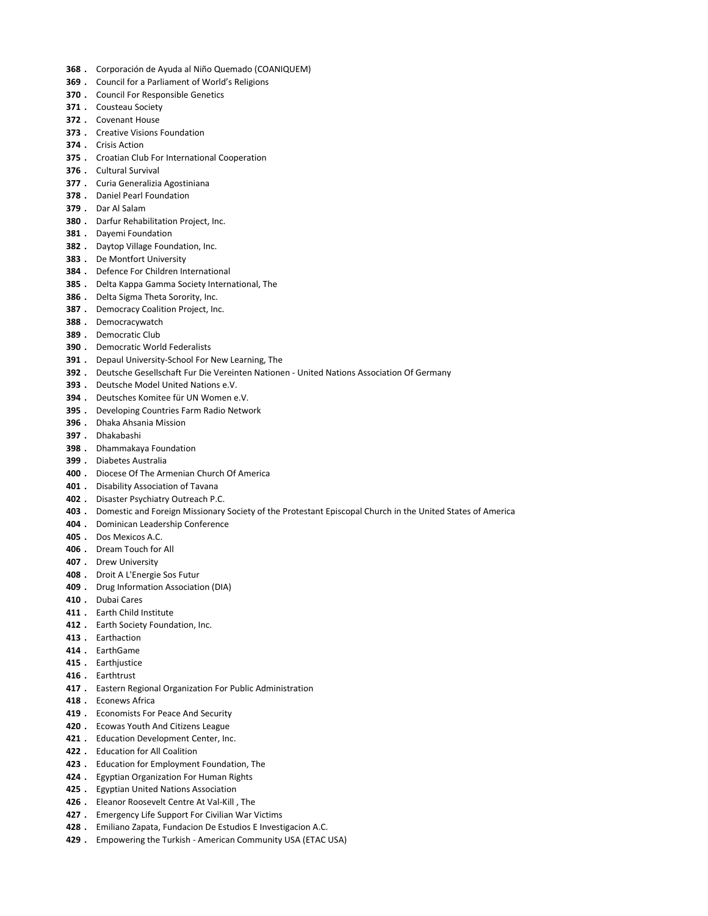- . Corporación de Ayuda al Niño Quemado (COANIQUEM)
- . Council for a Parliament of World's Religions
- 370 . Council For Responsible Genetics
- . Cousteau Society
- . Covenant House
- . Creative Visions Foundation
- . Crisis Action
- . Croatian Club For International Cooperation
- . Cultural Survival
- . Curia Generalizia Agostiniana
- . Daniel Pearl Foundation
- . Dar Al Salam
- 380 . Darfur Rehabilitation Project, Inc.
- 381 . Dayemi Foundation
- . Daytop Village Foundation, Inc.
- . De Montfort University
- . Defence For Children International
- . Delta Kappa Gamma Society International, The
- 386 . Delta Sigma Theta Sorority, Inc.
- 387 . Democracy Coalition Project, Inc.
- . Democracywatch
- . Democratic Club
- . Democratic World Federalists
- 391 . Depaul University-School For New Learning, The
- . Deutsche Gesellschaft Fur Die Vereinten Nationen United Nations Association Of Germany
- . Deutsche Model United Nations e.V.
- . Deutsches Komitee für UN Women e.V.
- . Developing Countries Farm Radio Network
- . Dhaka Ahsania Mission
- . Dhakabashi
- . Dhammakaya Foundation
- . Diabetes Australia
- . Diocese Of The Armenian Church Of America
- 401 . Disability Association of Tavana
- . Disaster Psychiatry Outreach P.C.
- . Domestic and Foreign Missionary Society of the Protestant Episcopal Church in the United States of America
- . Dominican Leadership Conference
- . Dos Mexicos A.C.
- . Dream Touch for All
- . Drew University
- . Droit A L'Energie Sos Futur
- . Drug Information Association (DIA)
- . Dubai Cares
- 411 . Earth Child Institute
- 412 . Earth Society Foundation, Inc.
- . Earthaction
- . EarthGame
- 415 . Earthjustice
- . Earthtrust
- 417 . Eastern Regional Organization For Public Administration
- . Econews Africa
- 419 . Economists For Peace And Security
- 420 . Ecowas Youth And Citizens League
- 421 . Education Development Center, Inc.
- . Education for All Coalition
- . Education for Employment Foundation, The
- 424 . Egyptian Organization For Human Rights
- . Egyptian United Nations Association
- . Eleanor Roosevelt Centre At Val-Kill , The
- 427 . Emergency Life Support For Civilian War Victims
- 428 . Emiliano Zapata, Fundacion De Estudios E Investigacion A.C.
- 429 . Empowering the Turkish American Community USA (ETAC USA)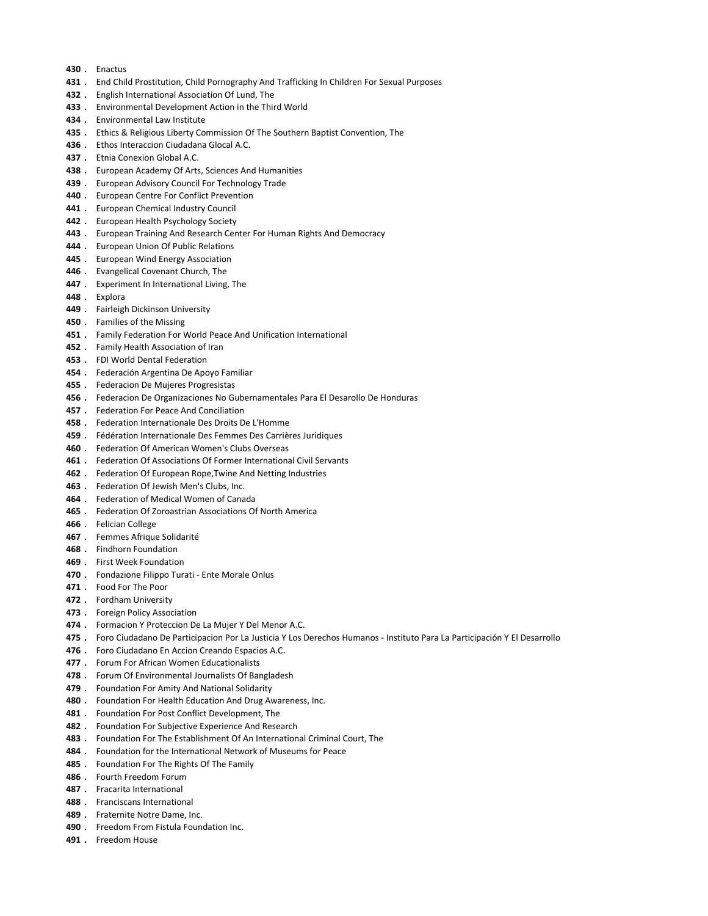- 430 . Enactus
- 431 . End Child Prostitution, Child Pornography And Trafficking In Children For Sexual Purposes
- 432 . English International Association Of Lund, The
- 433 . Environmental Development Action in the Third World
- 434 . Fnyironmental Law Institute
- 435 . Ethics & Religious Liberty Commission Of The Southern Baptist Convention, The
- 436 . Ethos Interaccion Ciudadana Glocal A.C.
- 437 . Etnia Conexion Global A.C.
- 438 . European Academy Of Arts, Sciences And Humanities
- 439 . European Advisory Council For Technology Trade
- 440 . European Centre For Conflict Prevention
- 441 . European Chemical Industry Council
- 442 . European Health Psychology Society
- 443 . European Training And Research Center For Human Rights And Democracy
- 444 . European Union Of Public Relations
- 445 . European Wind Energy Association
- 446 . Evangelical Covenant Church, The
- 447 . Experiment In International Living, The
- 448 . Explora
- 449 . Fairleigh Dickinson University
- 450 . Families of the Missing
- 451 . Family Federation For World Peace And Unification International
- 452 . Family Health Association of Iran
- 453 . FDI World Dental Federation
- 454 . Federación Argentina De Apoyo Familiar
- 455 . Federacion De Mujeres Progresistas
- 456 . Federacion De Organizaciones No Gubernamentales Para El Desarollo De Honduras
- 457 . Federation For Peace And Conciliation
- 458 . Federation Internationale Des Droits De L'Homme
- 459 . Fédération Internationale Des Femmes Des Carrières Juridiques
- 460 . Federation Of American Women's Clubs Overseas
- 461 . Federation Of Associations Of Former International Civil Servants
- 462 . Federation Of European Rope, Twine And Netting Industries
- 463 . Federation Of Jewish Men's Clubs, Inc.
- 464 . Federation of Medical Women of Canada
- 465 . Federation Of Zoroastrian Associations Of North America
- 466 . Felician College
- 467 . Femmes Afrique Solidarité
- 468 . Findhorn Foundation
- 469 . First Week Foundation
- 470 . Fondazione Filippo Turati Ente Morale Onlus
- 471 . Food For The Poor
- 472 . Fordham University
- 473 . Foreign Policy Association
- 474 . Formacion Y Proteccion De La Mujer Y Del Menor A.C.
- 475 . Foro Ciudadano De Participacion Por La Justicia Y Los Derechos Humanos Instituto Para La Participación Y El Desarrollo
- 476 . Foro Ciudadano En Accion Creando Espacios A.C.
- 477 . Forum For African Women Educationalists
- 478 . Forum Of Environmental Journalists Of Bangladesh
- 479 . Foundation For Amity And National Solidarity
- 480 . Foundation For Health Education And Drug Awareness, Inc.
- 481 . Foundation For Post Conflict Development, The
- 482 . Foundation For Subjective Experience And Research
- 483 . Foundation For The Establishment Of An International Criminal Court, The
- 484 . Foundation for the International Network of Museums for Peace
- 485 . Foundation For The Rights Of The Family
- 486 . Fourth Freedom Forum
- 487 . Fracarita International
- 488 . Franciscans International
- 489 . Fraternite Notre Dame, Inc.
- 490 . Freedom From Fistula Foundation Inc.
- 491 . Freedom House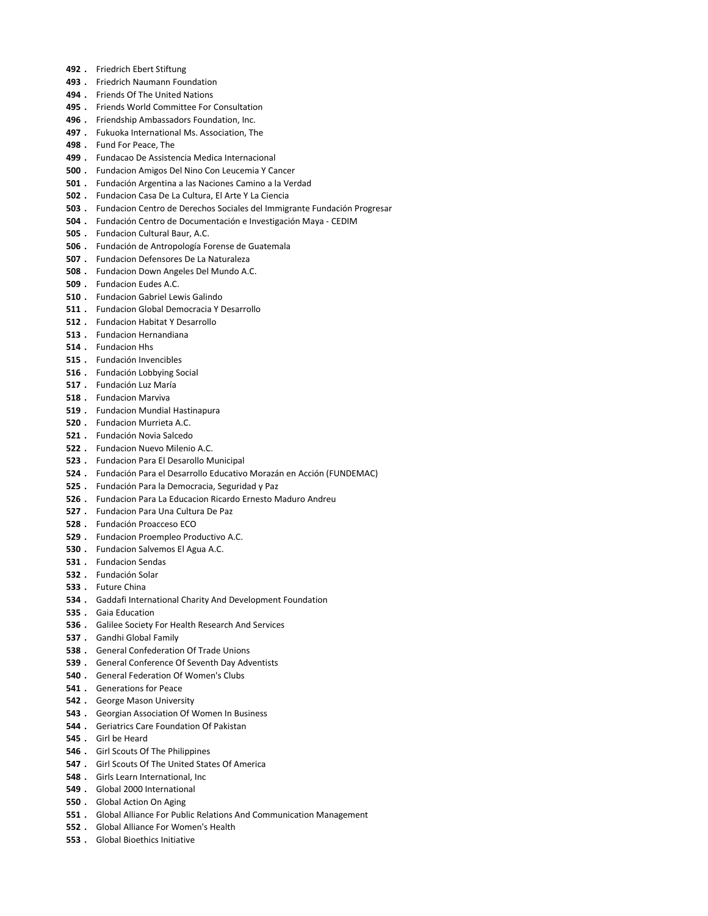- 492 . Friedrich Ebert Stiftung
- . Friedrich Naumann Foundation
- 494 . Friends Of The United Nations
- 495 . Friends World Committee For Consultation
- 496 . Friendship Ambassadors Foundation, Inc.
- 497 . Fukuoka International Ms. Association, The
- . Fund For Peace, The
- . Fundacao De Assistencia Medica Internacional
- . Fundacion Amigos Del Nino Con Leucemia Y Cancer
- . Fundación Argentina a las Naciones Camino a la Verdad
- . Fundacion Casa De La Cultura, El Arte Y La Ciencia
- . Fundacion Centro de Derechos Sociales del Immigrante Fundación Progresar
- . Fundación Centro de Documentación e Investigación Maya CEDIM
- . Fundacion Cultural Baur, A.C.
- . Fundación de Antropología Forense de Guatemala
- . Fundacion Defensores De La Naturaleza
- . Fundacion Down Angeles Del Mundo A.C.
- . Fundacion Eudes A.C.
- . Fundacion Gabriel Lewis Galindo
- . Fundacion Global Democracia Y Desarrollo
- . Fundacion Habitat Y Desarrollo
- . Fundacion Hernandiana
- . Fundacion Hhs
- . Fundación Invencibles
- . Fundación Lobbying Social
- . Fundación Luz María
- . Fundacion Marviva
- . Fundacion Mundial Hastinapura
- . Fundacion Murrieta A.C.
- . Fundación Novia Salcedo
- . Fundacion Nuevo Milenio A.C.
- . Fundacion Para El Desarollo Municipal
- . Fundación Para el Desarrollo Educativo Morazán en Acción (FUNDEMAC)
- . Fundación Para la Democracia, Seguridad y Paz
- . Fundacion Para La Educacion Ricardo Ernesto Maduro Andreu
- . Fundacion Para Una Cultura De Paz
- . Fundación Proacceso ECO
- . Fundacion Proempleo Productivo A.C.
- . Fundacion Salvemos El Agua A.C.
- . Fundacion Sendas
- . Fundación Solar
- . Future China
- . Gaddafi International Charity And Development Foundation
- . Gaia Education
- . Galilee Society For Health Research And Services
- . Gandhi Global Family
- . General Confederation Of Trade Unions
- . General Conference Of Seventh Day Adventists
- . General Federation Of Women's Clubs
- . Generations for Peace
- . George Mason University
- . Georgian Association Of Women In Business
- . Geriatrics Care Foundation Of Pakistan
- . Girl be Heard
- . Girl Scouts Of The Philippines
- . Girl Scouts Of The United States Of America
- . Girls Learn International, Inc
- . Global 2000 International
- . Global Action On Aging
- . Global Alliance For Public Relations And Communication Management
- . Global Alliance For Women's Health
- . Global Bioethics Initiative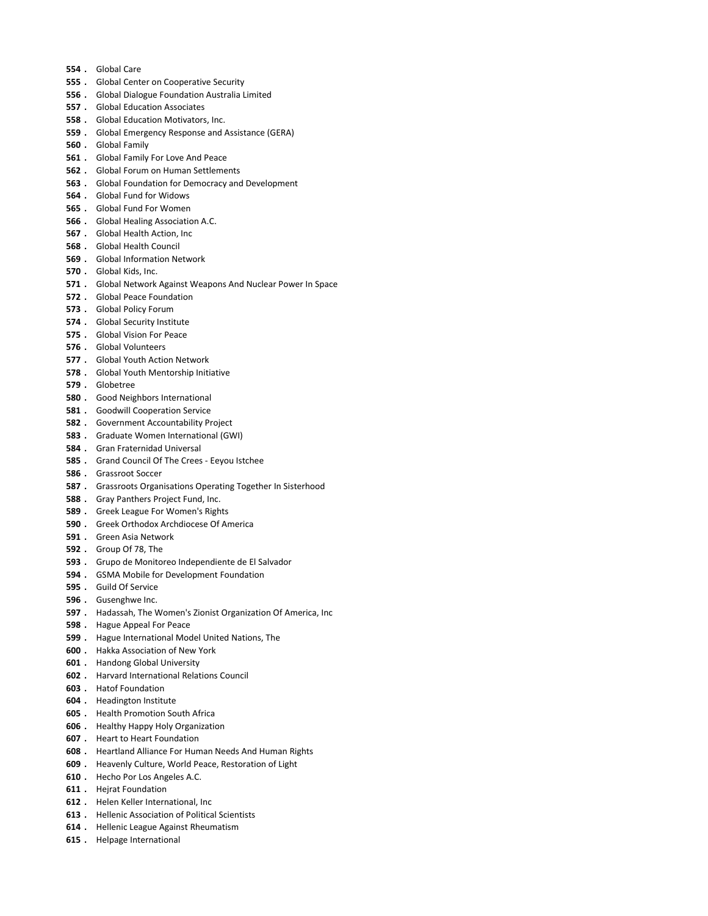- . Global Care
- 555 . Global Center on Cooperative Security
- . Global Dialogue Foundation Australia Limited
- . Global Education Associates
- . Global Education Motivators, Inc.
- . Global Emergency Response and Assistance (GERA)
- . Global Family
- . Global Family For Love And Peace
- . Global Forum on Human Settlements
- . Global Foundation for Democracy and Development
- . Global Fund for Widows
- . Global Fund For Women
- . Global Healing Association A.C.
- . Global Health Action, Inc
- . Global Health Council
- . Global Information Network
- . Global Kids, Inc.
- . Global Network Against Weapons And Nuclear Power In Space
- . Global Peace Foundation
- . Global Policy Forum
- . Global Security Institute
- . Global Vision For Peace
- . Global Volunteers
- . Global Youth Action Network
- . Global Youth Mentorship Initiative
- . Globetree
- . Good Neighbors International
- . Goodwill Cooperation Service
- . Government Accountability Project
- . Graduate Women International (GWI)
- . Gran Fraternidad Universal
- . Grand Council Of The Crees Eeyou Istchee
- . Grassroot Soccer
- 587 . Grassroots Organisations Operating Together In Sisterhood
- . Gray Panthers Project Fund, Inc.
- . Greek League For Women's Rights
- . Greek Orthodox Archdiocese Of America
- . Green Asia Network
- . Group Of 78, The
- . Grupo de Monitoreo Independiente de El Salvador
- . GSMA Mobile for Development Foundation
- . Guild Of Service
- . Gusenghwe Inc.
- . Hadassah, The Women's Zionist Organization Of America, Inc
- . Hague Appeal For Peace
- . Hague International Model United Nations, The
- . Hakka Association of New York
- . Handong Global University
- . Harvard International Relations Council
- . Hatof Foundation
- . Headington Institute
- . Health Promotion South Africa
- . Healthy Happy Holy Organization
- . Heart to Heart Foundation
- . Heartland Alliance For Human Needs And Human Rights
- . Heavenly Culture, World Peace, Restoration of Light
- . Hecho Por Los Angeles A.C.
- . Hejrat Foundation
- . Helen Keller International, Inc
- . Hellenic Association of Political Scientists
- . Hellenic League Against Rheumatism
- . Helpage International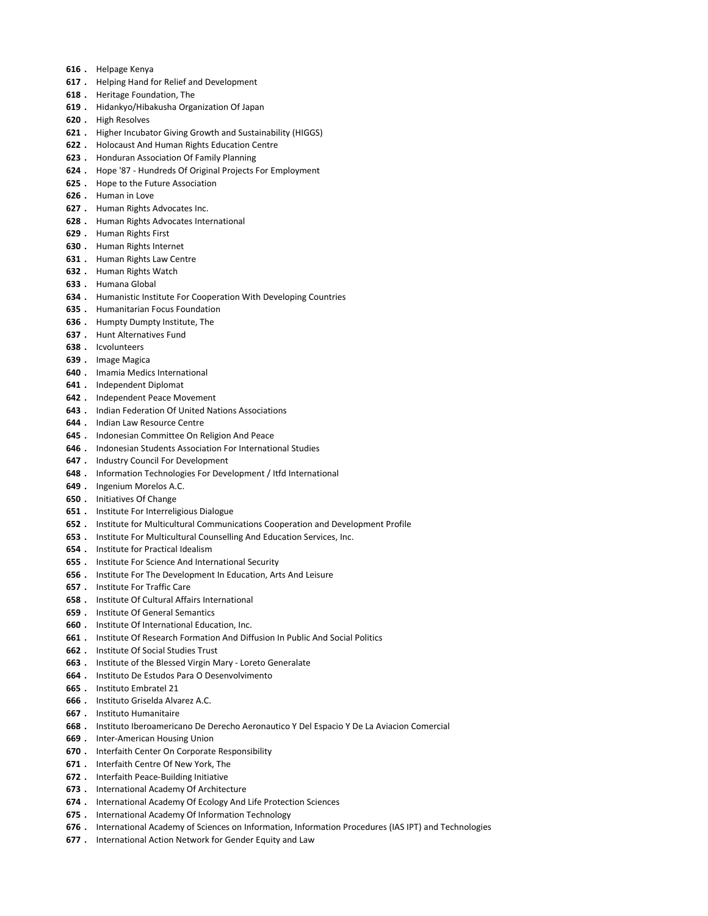- . Helpage Kenya
- . Helping Hand for Relief and Development
- . Heritage Foundation, The
- . Hidankyo/Hibakusha Organization Of Japan
- . High Resolves
- . Higher Incubator Giving Growth and Sustainability (HIGGS)
- . Holocaust And Human Rights Education Centre
- . Honduran Association Of Family Planning
- . Hope '87 Hundreds Of Original Projects For Employment
- 625 . Hope to the Future Association
- . Human in Love
- . Human Rights Advocates Inc.
- . Human Rights Advocates International
- . Human Rights First
- . Human Rights Internet
- . Human Rights Law Centre
- . Human Rights Watch
- . Humana Global
- . Humanistic Institute For Cooperation With Developing Countries
- . Humanitarian Focus Foundation
- . Humpty Dumpty Institute, The
- . Hunt Alternatives Fund
- . Icvolunteers
- . Image Magica
- . Imamia Medics International
- . Independent Diplomat
- . Independent Peace Movement
- . Indian Federation Of United Nations Associations
- . Indian Law Resource Centre
- . Indonesian Committee On Religion And Peace
- . Indonesian Students Association For International Studies
- . Industry Council For Development
- . Information Technologies For Development / Itfd International
- . Ingenium Morelos A.C.
- . Initiatives Of Change
- . Institute For Interreligious Dialogue
- . Institute for Multicultural Communications Cooperation and Development Profile
- . Institute For Multicultural Counselling And Education Services, Inc.
- . Institute for Practical Idealism
- . Institute For Science And International Security
- . Institute For The Development In Education, Arts And Leisure
- . Institute For Traffic Care
- . Institute Of Cultural Affairs International
- . Institute Of General Semantics
- . Institute Of International Education, Inc.
- . Institute Of Research Formation And Diffusion In Public And Social Politics
- . Institute Of Social Studies Trust
- . Institute of the Blessed Virgin Mary Loreto Generalate
- . Instituto De Estudos Para O Desenvolvimento
- . Instituto Embratel 21
- . Instituto Griselda Alvarez A.C.
- . Instituto Humanitaire
- . Instituto Iberoamericano De Derecho Aeronautico Y Del Espacio Y De La Aviacion Comercial
- . Inter-American Housing Union
- . Interfaith Center On Corporate Responsibility
- . Interfaith Centre Of New York, The
- . Interfaith Peace-Building Initiative
- . International Academy Of Architecture
- . International Academy Of Ecology And Life Protection Sciences
- . International Academy Of Information Technology
- . International Academy of Sciences on Information, Information Procedures (IAS IPT) and Technologies
- 677 . International Action Network for Gender Equity and Law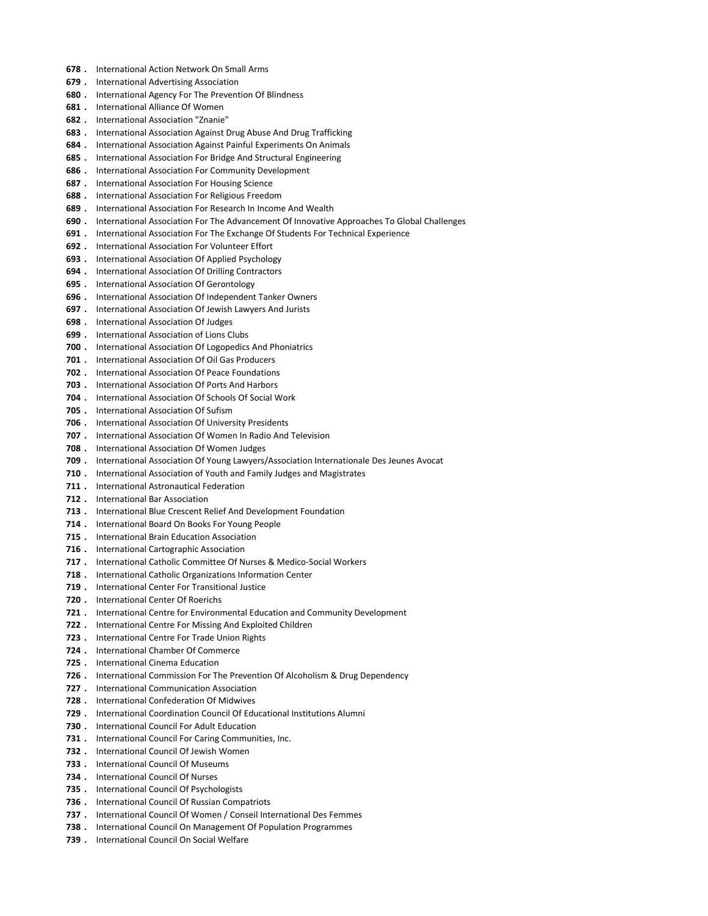- . International Action Network On Small Arms
- . International Advertising Association
- . International Agency For The Prevention Of Blindness
- . International Alliance Of Women
- . International Association "Znanie"
- . International Association Against Drug Abuse And Drug Trafficking
- . International Association Against Painful Experiments On Animals
- 685 . International Association For Bridge And Structural Engineering
- . International Association For Community Development
- . International Association For Housing Science
- . International Association For Religious Freedom
- . International Association For Research In Income And Wealth
- . International Association For The Advancement Of Innovative Approaches To Global Challenges
- . International Association For The Exchange Of Students For Technical Experience
- . International Association For Volunteer Effort
- . International Association Of Applied Psychology
- . International Association Of Drilling Contractors
- . International Association Of Gerontology
- . International Association Of Independent Tanker Owners
- . International Association Of Jewish Lawyers And Jurists
- . International Association Of Judges
- . International Association of Lions Clubs
- 700 . International Association Of Logopedics And Phoniatrics
- . International Association Of Oil Gas Producers
- . International Association Of Peace Foundations
- . International Association Of Ports And Harbors
- . International Association Of Schools Of Social Work
- . International Association Of Sufism
- . International Association Of University Presidents
- . International Association Of Women In Radio And Television
- . International Association Of Women Judges
- . International Association Of Young Lawyers/Association Internationale Des Jeunes Avocat
- 710 . International Association of Youth and Family Judges and Magistrates
- 711 . International Astronautical Federation
- 712 . International Bar Association
- . International Blue Crescent Relief And Development Foundation
- . International Board On Books For Young People
- . International Brain Education Association
- 716 . International Cartographic Association
- . International Catholic Committee Of Nurses & Medico-Social Workers
- . International Catholic Organizations Information Center
- . International Center For Transitional Justice
- . International Center Of Roerichs
- . International Centre for Environmental Education and Community Development
- . International Centre For Missing And Exploited Children
- . International Centre For Trade Union Rights
- . International Chamber Of Commerce
- . International Cinema Education
- . International Commission For The Prevention Of Alcoholism & Drug Dependency
- . International Communication Association
- . International Confederation Of Midwives
- . International Coordination Council Of Educational Institutions Alumni
- . International Council For Adult Education
- 731 . International Council For Caring Communities, Inc.
- . International Council Of Jewish Women
- 733 . International Council Of Museums
- . International Council Of Nurses
- . International Council Of Psychologists
- . International Council Of Russian Compatriots
- . International Council Of Women / Conseil International Des Femmes
- . International Council On Management Of Population Programmes
- . International Council On Social Welfare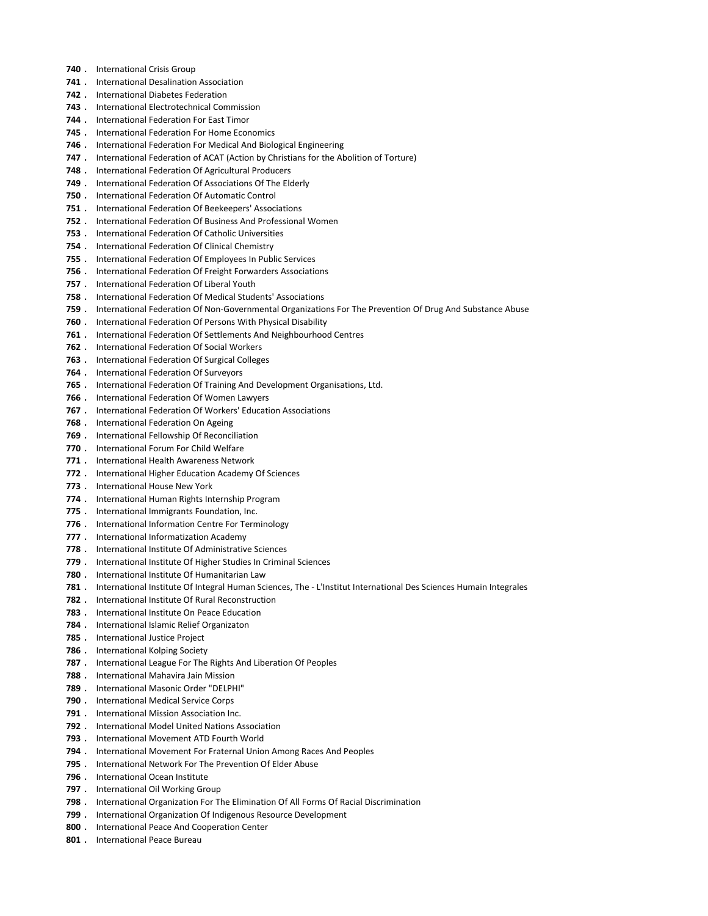- 740 . International Crisis Group
- 741 . International Desalination Association
- . International Diabetes Federation
- . International Electrotechnical Commission
- . International Federation For East Timor
- . International Federation For Home Economics
- . International Federation For Medical And Biological Engineering
- . International Federation of ACAT (Action by Christians for the Abolition of Torture)
- 748 . International Federation Of Agricultural Producers
- . International Federation Of Associations Of The Elderly
- . International Federation Of Automatic Control
- . International Federation Of Beekeepers' Associations
- . International Federation Of Business And Professional Women
- . International Federation Of Catholic Universities
- . International Federation Of Clinical Chemistry
- . International Federation Of Employees In Public Services
- . International Federation Of Freight Forwarders Associations
- . International Federation Of Liberal Youth
- . International Federation Of Medical Students' Associations
- . International Federation Of Non-Governmental Organizations For The Prevention Of Drug And Substance Abuse
- . International Federation Of Persons With Physical Disability
- . International Federation Of Settlements And Neighbourhood Centres
- . International Federation Of Social Workers
- . International Federation Of Surgical Colleges
- 764 . International Federation Of Surveyors
- . International Federation Of Training And Development Organisations, Ltd.
- . International Federation Of Women Lawyers
- . International Federation Of Workers' Education Associations
- . International Federation On Ageing
- . International Fellowship Of Reconciliation
- 770 . International Forum For Child Welfare
- . International Health Awareness Network
- 772 . International Higher Education Academy Of Sciences
- . International House New York
- . International Human Rights Internship Program
- . International Immigrants Foundation, Inc.
- 776 . International Information Centre For Terminology
- 777 . International Informatization Academy
- . International Institute Of Administrative Sciences
- . International Institute Of Higher Studies In Criminal Sciences
- 780 . International Institute Of Humanitarian Law
- . International Institute Of Integral Human Sciences, The L'Institut International Des Sciences Humain Integrales
- . International Institute Of Rural Reconstruction
- . International Institute On Peace Education
- . International Islamic Relief Organizaton
- . International Justice Project
- 786 . International Kolping Society
- . International League For The Rights And Liberation Of Peoples
- . International Mahavira Jain Mission
- . International Masonic Order "DELPHI"
- . International Medical Service Corps
- . International Mission Association Inc.
- . International Model United Nations Association
- . International Movement ATD Fourth World
- . International Movement For Fraternal Union Among Races And Peoples
- . International Network For The Prevention Of Elder Abuse
- . International Ocean Institute
- 797 . International Oil Working Group
- . International Organization For The Elimination Of All Forms Of Racial Discrimination
- . International Organization Of Indigenous Resource Development
- 800 . International Peace And Cooperation Center
- 801 . International Peace Bureau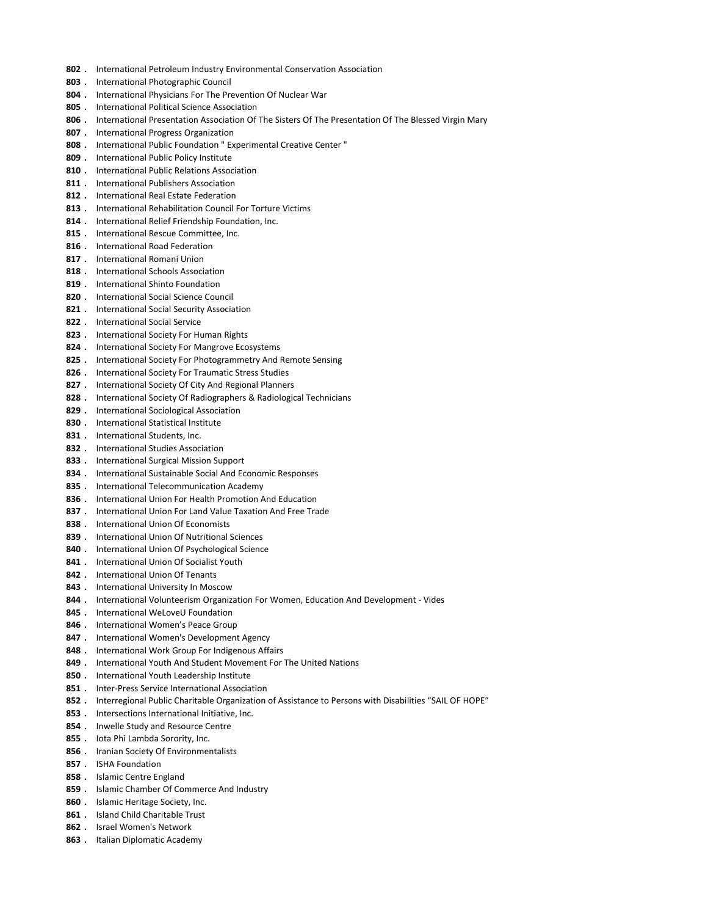- 802 . International Petroleum Industry Environmental Conservation Association
- 803 . International Photographic Council
- 804 . International Physicians For The Prevention Of Nuclear War
- 805 . International Political Science Association
- 806 . International Presentation Association Of The Sisters Of The Presentation Of The Blessed Virgin Mary
- 807 . International Progress Organization
- 808 . International Public Foundation " Experimental Creative Center "
- 809 . International Public Policy Institute
- 810 . International Public Relations Association
- 811 . International Publishers Association
- 812 . International Real Estate Federation
- 813 . International Rehabilitation Council For Torture Victims
- 814 . International Relief Friendship Foundation, Inc.
- 815 . International Rescue Committee, Inc.
- 816 . International Road Federation
- 817 . International Romani Union
- 818 . International Schools Association
- 819 . International Shinto Foundation
- 820 . International Social Science Council
- 821 . International Social Security Association
- 822 . International Social Service
- 823 . International Society For Human Rights
- 824 . International Society For Mangrove Ecosystems
- 825 . International Society For Photogrammetry And Remote Sensing
- 826 . International Society For Traumatic Stress Studies
- 827 . International Society Of City And Regional Planners
- 828 . International Society Of Radiographers & Radiological Technicians
- 829 . International Sociological Association
- 830 . International Statistical Institute
- 831 . International Students, Inc.
- 832 . International Studies Association
- 833 . International Surgical Mission Support
- 834 . International Sustainable Social And Economic Responses
- 835 . International Telecommunication Academy
- 836 . International Union For Health Promotion And Education
- 837 . International Union For Land Value Taxation And Free Trade
- 838 . International Union Of Economists
- 839 . International Union Of Nutritional Sciences
- 840 . International Union Of Psychological Science
- 841 . International Union Of Socialist Youth
- 842 . International Union Of Tenants
- 843 . International University In Moscow
- 844 . International Volunteerism Organization For Women, Education And Development Vides
- 845 . International WeLoveU Foundation
- 846 . International Women's Peace Group
- 847 . International Women's Development Agency
- 848 . International Work Group For Indigenous Affairs
- 849 . International Youth And Student Movement For The United Nations
- 850 . International Youth Leadership Institute
- 851 . Inter-Press Service International Association
- 852 . Interregional Public Charitable Organization of Assistance to Persons with Disabilities "SAIL OF HOPE"
- 853 . Intersections International Initiative, Inc.
- 854 . Inwelle Study and Resource Centre
- 855 . Iota Phi Lambda Sorority, Inc.
- 856 . Iranian Society Of Environmentalists
- 857 . ISHA Foundation
- 858 . Islamic Centre England
- 859 . Islamic Chamber Of Commerce And Industry
- 860 . Islamic Heritage Society, Inc.
- 861 . Island Child Charitable Trust
- 862 . Israel Women's Network
- 863 . Italian Diplomatic Academy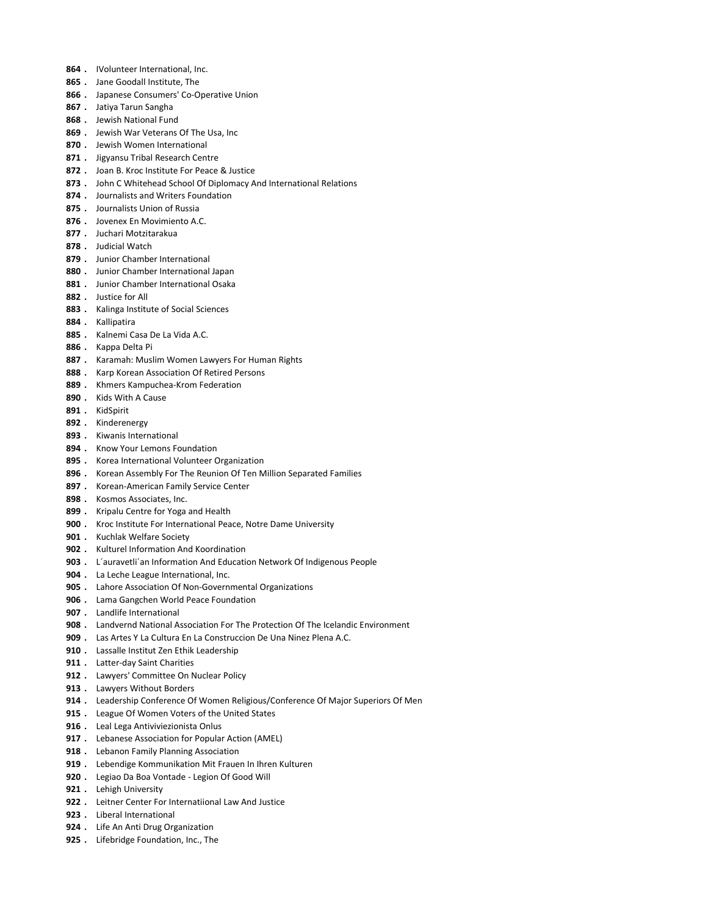- 864 . IVolunteer International, Inc.
- 865 . Jane Goodall Institute, The
- 866 . Japanese Consumers' Co-Operative Union
- 867 . Jatiya Tarun Sangha
- 868 . Jewish National Fund
- 869 . Jewish War Veterans Of The Usa, Inc.
- 870 . Jewish Women International
- 871 . Jigyansu Tribal Research Centre
- 872 . Joan B. Kroc Institute For Peace & Justice
- 873 . John C Whitehead School Of Diplomacy And International Relations
- 874 . Journalists and Writers Foundation
- 875 . Journalists Union of Russia
- 876 . Jovenex En Movimiento A.C.
- 877 . Juchari Motzitarakua
- 878 . Judicial Watch
- 879 . Junior Chamber International
- 880 . Junior Chamber International Japan
- 881 . Junior Chamber International Osaka
- 882 . Justice for All
- 883 . Kalinga Institute of Social Sciences
- 884 . Kallipatira
- 885 . Kalnemi Casa De La Vida A.C.
- 886 . Kappa Delta Pi
- 887 . Karamah: Muslim Women Lawyers For Human Rights
- 888 . Karp Korean Association Of Retired Persons
- 889 . Khmers Kampuchea-Krom Federation
- 890 . Kids With A Cause
- 891 . KidSpirit
- 892 . Kinderenergy
- 893 . Kiwanis International
- 894 . Know Your Lemons Foundation
- 895 . Korea International Volunteer Organization
- 896 . Korean Assembly For The Reunion Of Ten Million Separated Families
- 897 . Korean-American Family Service Center
- 898 . Kosmos Associates, Inc.
- 899 . Kripalu Centre for Yoga and Health
- 900 . Kroc Institute For International Peace, Notre Dame University
- 901 . Kuchlak Welfare Society
- 902 . Kulturel Information And Koordination
- 903 . L'auravetli'an Information And Education Network Of Indigenous People
- 904 . La Leche League International, Inc.
- 905 . Lahore Association Of Non-Governmental Organizations
- 906 . Lama Gangchen World Peace Foundation
- 907 . Landlife International
- 908 . Landvernd National Association For The Protection Of The Icelandic Environment
- 909 . Las Artes Y La Cultura En La Construccion De Una Ninez Plena A.C.
- 910 . Lassalle Institut Zen Ethik Leadership
- 911 . Latter-day Saint Charities
- 912 . Lawyers' Committee On Nuclear Policy
- 913 . Lawyers Without Borders
- 914 . Leadership Conference Of Women Religious/Conference Of Major Superiors Of Men
- 915 . League Of Women Voters of the United States
- 916 . Leal Lega Antiviviezionista Onlus
- 917 . Lebanese Association for Popular Action (AMEL)
- 918 . Lebanon Family Planning Association
- 919 . Lebendige Kommunikation Mit Frauen In Ihren Kulturen
- 920 . Legiao Da Boa Vontade Legion Of Good Will
- 921 . Lehigh University
- 922 . Leitner Center For Internatiional Law And Justice
- 923 . Liberal International
- 924 . Life An Anti Drug Organization
- 925 . Lifebridge Foundation, Inc., The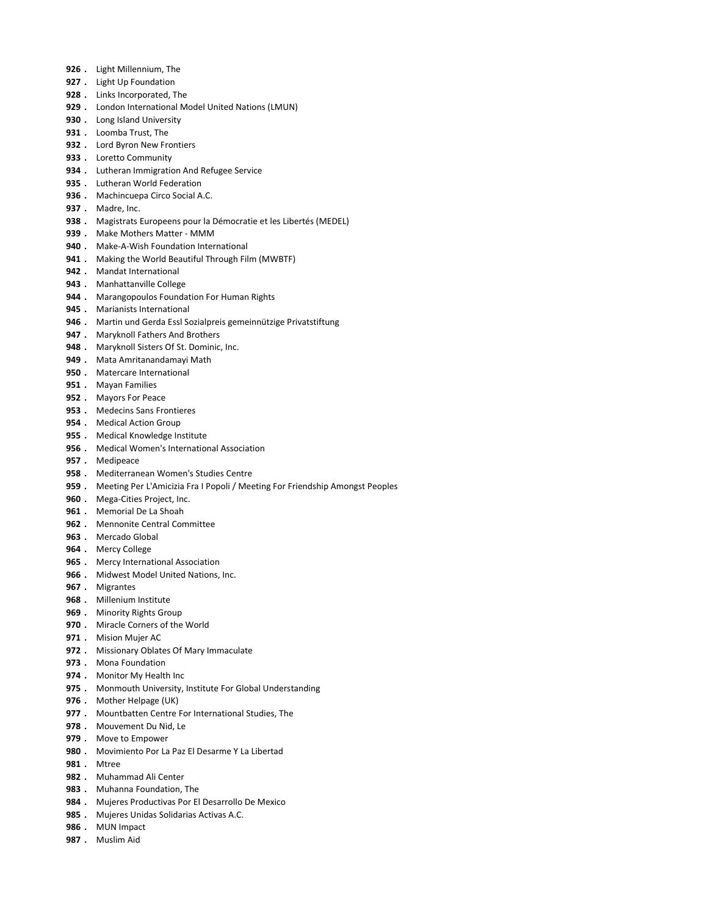- 926 . Light Millennium, The
- 927 . Light Up Foundation
- 928 . Links Incorporated, The
- 929 . London International Model United Nations (LMUN)
- 930 . Long Island University
- 931 . Loomba Trust, The
- 932 . Lord Byron New Frontiers
- 933 . Loretto Community
- 934 . Lutheran Immigration And Refugee Service
- 935 . Lutheran World Federation
- 936 . Machincuepa Circo Social A.C.
- 937 . Madre, Inc.
- 938 . Magistrats Europeens pour la Démocratie et les Libertés (MEDEL)
- 939 . Make Mothers Matter MMM
- 940 . Make-A-Wish Foundation International
- 941 . Making the World Beautiful Through Film (MWBTF)
- 942 . Mandat International
- 943 . Manhattanville College
- 944 . Marangopoulos Foundation For Human Rights
- 945 . Marianists International
- 946 . Martin und Gerda Essl Sozialpreis gemeinnützige Privatstiftung
- 947 . Maryknoll Fathers And Brothers
- 948 . Maryknoll Sisters Of St. Dominic, Inc.
- 949 . Mata Amritanandamayi Math
- 950 . Matercare International
- 951 . Mayan Families
- 952 . Mayors For Peace
- 953 . Medecins Sans Frontieres
- 954 . Medical Action Group
- 955 . Medical Knowledge Institute
- 956 . Medical Women's International Association
- 957 . Medipeace
- 958 . Mediterranean Women's Studies Centre
- 959 . Meeting Per L'Amicizia Fra I Popoli / Meeting For Friendship Amongst Peoples
- 960 . Mega-Cities Project, Inc.
- 961 . Memorial De La Shoah
- 962 . Mennonite Central Committee
- 963 . Mercado Global
- 964 . Mercy College
- 965 . Mercy International Association
- 966 . Midwest Model United Nations, Inc.
- 967 . Migrantes
- 968 . Millenium Institute
- 969 . Minority Rights Group
- 970 . Miracle Corners of the World
- 971 . Mision Mujer AC
- 972 . Missionary Oblates Of Mary Immaculate
- 973 . Mona Foundation
- 974 . Monitor My Health Inc
- 975 . Monmouth University, Institute For Global Understanding
- 976 . Mother Helpage (UK)
- 977 . Mountbatten Centre For International Studies, The
- 978 . Mouvement Du Nid, Le
- 979 . Move to Empower
- 980 . Movimiento Por La Paz El Desarme Y La Libertad
- **981** . Mtree
- 982 . Muhammad Ali Center
- 983 . Muhanna Foundation, The
- 984 . Mujeres Productivas Por El Desarrollo De Mexico
- 985 . Mujeres Unidas Solidarias Activas A.C.
- 986 . MUN Impact
- 987 . Muslim Aid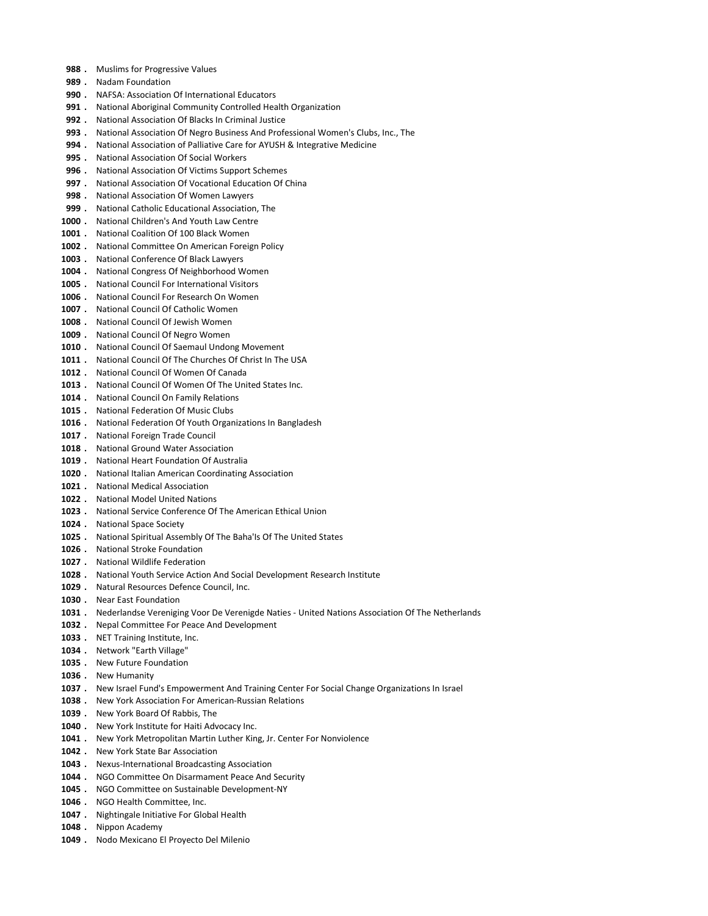- 988 . Muslims for Progressive Values
- 989 . Nadam Foundation
- 990 . NAFSA: Association Of International Educators
- 991 . National Aboriginal Community Controlled Health Organization
- 992 . National Association Of Blacks In Criminal Justice
- 993 . National Association Of Negro Business And Professional Women's Clubs, Inc., The
- 994 . National Association of Palliative Care for AYUSH & Integrative Medicine
- 995 . National Association Of Social Workers
- 996 . National Association Of Victims Support Schemes
- 997 . National Association Of Vocational Education Of China
- 998 . National Association Of Women Lawyers
- 999 . National Catholic Educational Association, The
- 1000 . National Children's And Youth Law Centre
- 1001 . National Coalition Of 100 Black Women
- 1002 . National Committee On American Foreign Policy
- 1003 . National Conference Of Black Lawyers
- 1004 . National Congress Of Neighborhood Women
- 1005 . National Council For International Visitors
- 1006 . National Council For Research On Women
- 1007 . National Council Of Catholic Women
- 1008 . National Council Of Jewish Women
- 1009 . National Council Of Negro Women
- 1010 . National Council Of Saemaul Undong Movement
- 1011 . National Council Of The Churches Of Christ In The USA
- 1012 . National Council Of Women Of Canada
- 1013 . National Council Of Women Of The United States Inc.
- 1014 . National Council On Family Relations
- 1015 . National Federation Of Music Clubs
- 1016 . National Federation Of Youth Organizations In Bangladesh
- 1017 . National Foreign Trade Council
- 1018 . National Ground Water Association
- 1019 . National Heart Foundation Of Australia
- 1020 . National Italian American Coordinating Association
- 1021 . National Medical Association
- 1022 . National Model United Nations
- 1023 . National Service Conference Of The American Ethical Union
- 1024 . National Space Society
- 1025 . National Spiritual Assembly Of The Baha'ls Of The United States
- 1026 . National Stroke Foundation
- 1027 . National Wildlife Federation
- 1028 . National Youth Service Action And Social Development Research Institute
- 1029 . Natural Resources Defence Council, Inc.
- 1030 . Near East Foundation
- 1031 . Nederlandse Vereniging Voor De Verenigde Naties United Nations Association Of The Netherlands
- 1032 . Nepal Committee For Peace And Development
- 1033 . NET Training Institute, Inc.
- 1034 . Network "Earth Village"
- 1035 . New Future Foundation
- 1036 . New Humanity
- 1037 . New Israel Fund's Empowerment And Training Center For Social Change Organizations In Israel
- 1038 . New York Association For American-Russian Relations
- 1039 . New York Board Of Rabbis, The
- 1040 . New York Institute for Haiti Advocacy Inc.
- 1041 . New York Metropolitan Martin Luther King, Jr. Center For Nonviolence
- 1042 . New York State Bar Association
- 1043 . Nexus-International Broadcasting Association
- 1044 . NGO Committee On Disarmament Peace And Security
- 1045 . NGO Committee on Sustainable Development-NY
- 1046 . NGO Health Committee, Inc.
- 1047 . Nightingale Initiative For Global Health
- 1048 . Nippon Academy
- 1049 . Nodo Mexicano El Proyecto Del Milenio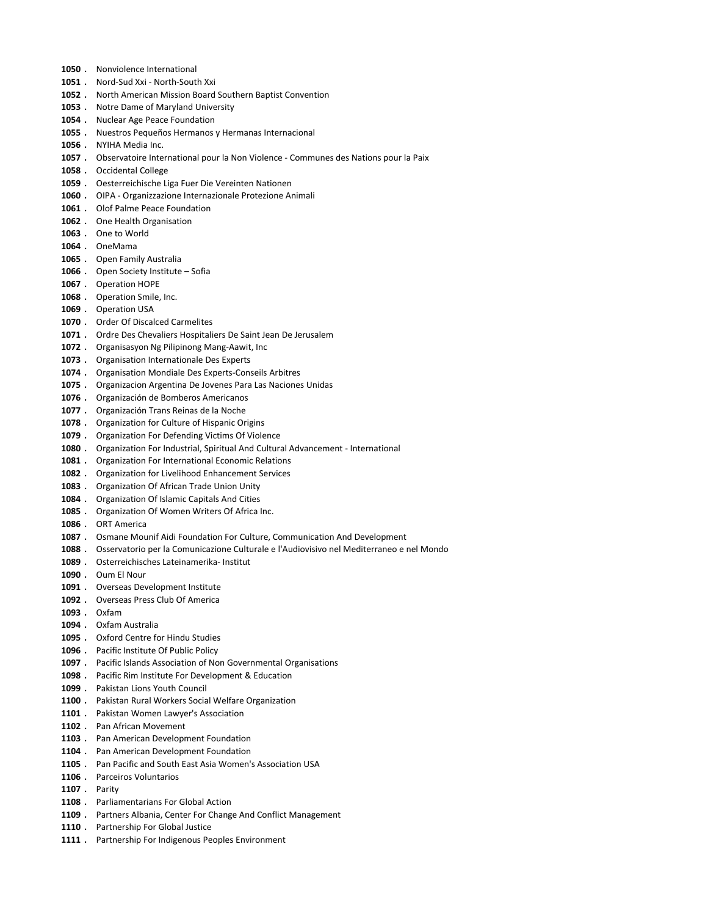- 1050 . Nonviolence International
- 1051 . Nord-Sud Xxi North-South Xxi
- 1052 . North American Mission Board Southern Baptist Convention
- 1053 . Notre Dame of Maryland University
- 1054 . Nuclear Age Peace Foundation
- 1055 . Nuestros Pequeños Hermanos y Hermanas Internacional
- 1056 . NYIHA Media Inc.
- 1057 . Observatoire International pour la Non Violence Communes des Nations pour la Paix
- 1058 . Occidental College
- 1059 . Oesterreichische Liga Fuer Die Vereinten Nationen
- 1060 . OIPA Organizzazione Internazionale Protezione Animali
- 1061 . Olof Palme Peace Foundation
- 1062 . One Health Organisation
- 1063 . One to World
- 1064 . OneMama
- 1065 . Open Family Australia
- 1066 . Open Society Institute Sofia
- 1067 . Operation HOPE
- 1068 . Operation Smile, Inc.
- 1069 . Operation USA
- 1070 . Order Of Discalced Carmelites
- 1071 . Ordre Des Chevaliers Hospitaliers De Saint Jean De Jerusalem
- 1072 . Organisasyon Ng Pilipinong Mang-Aawit, Inc
- 1073 . Organisation Internationale Des Experts
- 1074 . Organisation Mondiale Des Experts-Conseils Arbitres
- 1075 . Organizacion Argentina De Jovenes Para Las Naciones Unidas
- 1076 . Organización de Bomberos Americanos
- 1077 . Organización Trans Reinas de la Noche
- 1078 . Organization for Culture of Hispanic Origins
- 1079 . Organization For Defending Victims Of Violence
- 1080 . Organization For Industrial, Spiritual And Cultural Advancement International
- 1081 . Organization For International Economic Relations
- 1082 . Organization for Livelihood Enhancement Services
- 1083 . Organization Of African Trade Union Unity
- 1084 . Organization Of Islamic Capitals And Cities
- 1085 . Organization Of Women Writers Of Africa Inc.
- 1086 . ORT America
- 1087 . Osmane Mounif Aidi Foundation For Culture, Communication And Development
- 1088 . Osservatorio per la Comunicazione Culturale e l'Audiovisivo nel Mediterraneo e nel Mondo
- 1089 . Osterreichisches Lateinamerika- Institut
- 1090 . Oum El Nour
- 1091 . Overseas Development Institute
- 1092 . Overseas Press Club Of America
- 1093 . Oxfam
- 1094 . Oxfam Australia
- 1095 . Oxford Centre for Hindu Studies
- 1096 . Pacific Institute Of Public Policy
- 1097 . Pacific Islands Association of Non Governmental Organisations
- 1098 . Pacific Rim Institute For Development & Education
- 1099 . Pakistan Lions Youth Council
- 1100 . Pakistan Rural Workers Social Welfare Organization
- 1101 . Pakistan Women Lawyer's Association
- 1102 . Pan African Movement
- 1103 . Pan American Development Foundation
- 1104 . Pan American Development Foundation
- 1105 . Pan Pacific and South East Asia Women's Association USA
- 1106 . Parceiros Voluntarios
- 1107 . Parity
- 1108 . Parliamentarians For Global Action
- 1109 . Partners Albania, Center For Change And Conflict Management
- 1110 . Partnership For Global Justice
- 1111 . Partnership For Indigenous Peoples Environment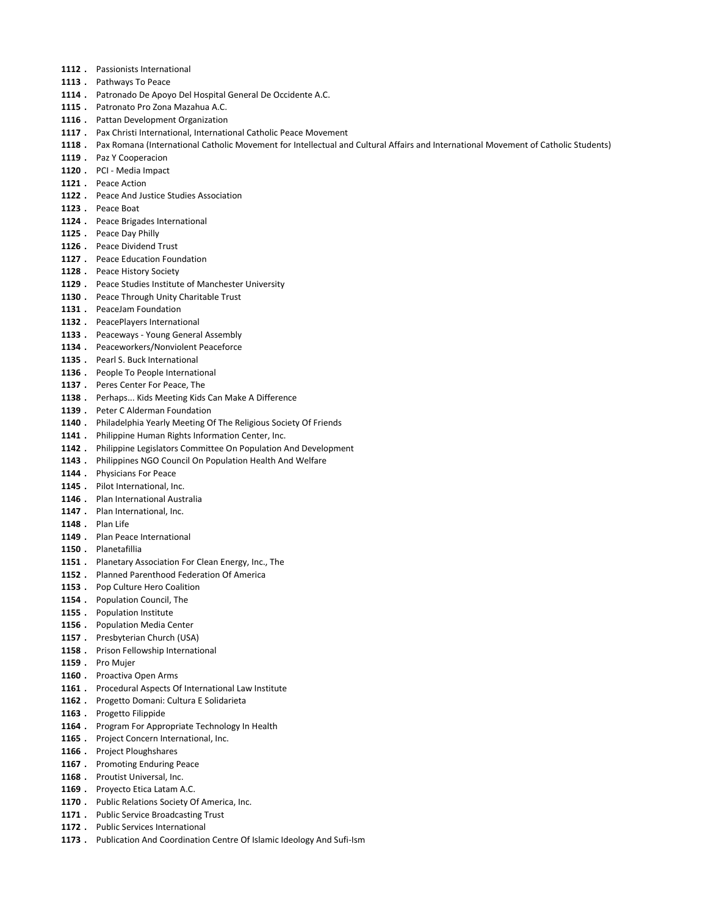- 1112 . Passionists International
- 1113 . Pathways To Peace
- 1114 . Patronado De Apoyo Del Hospital General De Occidente A.C.
- 1115 . Patronato Pro Zona Mazahua A.C.
- 1116 . Pattan Development Organization
- 1117 . Pax Christi International, International Catholic Peace Movement
- 1118 . Pax Romana (International Catholic Movement for Intellectual and Cultural Affairs and International Movement of Catholic Students)
- 1119 . Paz Y Cooperacion
- 1120 . PCI Media Impact
- 1121 . Peace Action
- 1122 . Peace And Justice Studies Association
- 1123 . Peace Boat
- 1124 . Peace Brigades International
- 1125 . Peace Day Philly
- 1126 . Peace Dividend Trust
- 1127 . Peace Education Foundation
- 1128 . Peace History Society
- 1129 . Peace Studies Institute of Manchester University
- 1130 . Peace Through Unity Charitable Trust
- 1131 . PeaceJam Foundation
- 1132 . PeacePlayers International
- 1133 . Peaceways Young General Assembly
- 1134 . Peaceworkers/Nonviolent Peaceforce
- 1135 . Pearl S. Buck International
- 1136 . People To People International
- 1137 . Peres Center For Peace, The
- 1138 . Perhaps... Kids Meeting Kids Can Make A Difference
- 1139 . Peter C Alderman Foundation
- 1140 . Philadelphia Yearly Meeting Of The Religious Society Of Friends
- 1141 . Philippine Human Rights Information Center, Inc.
- 1142 . Philippine Legislators Committee On Population And Development
- 1143 . Philippines NGO Council On Population Health And Welfare
- 1144 . Physicians For Peace
- 1145 . Pilot International, Inc.
- 1146 . Plan International Australia
- 1147 . Plan International, Inc.
- 1148 . Plan Life
- 1149 . Plan Peace International
- 1150 . Planetafillia
- 1151 . Planetary Association For Clean Energy, Inc., The
- 1152 . Planned Parenthood Federation Of America
- 1153 . Pop Culture Hero Coalition
- 1154 . Population Council, The
- 1155 . Population Institute
- 1156 . Population Media Center
- 1157 . Presbyterian Church (USA)
- 1158 . Prison Fellowship International
- 1159 . Pro Mujer
- 1160 . Proactiva Open Arms
- 1161 . Procedural Aspects Of International Law Institute
- 1162 . Progetto Domani: Cultura E Solidarieta
- 1163 . Progetto Filippide
- 1164 . Program For Appropriate Technology In Health
- 1165 . Project Concern International, Inc.
- 1166 . Project Ploughshares
- 1167 . Promoting Enduring Peace
- 1168 . Proutist Universal, Inc.
- 1169 . Proyecto Etica Latam A.C.
- 1170 . Public Relations Society Of America, Inc.
- 1171 . Public Service Broadcasting Trust
- 1172 . Public Services International
- 1173 . Publication And Coordination Centre Of Islamic Ideology And Sufi-Ism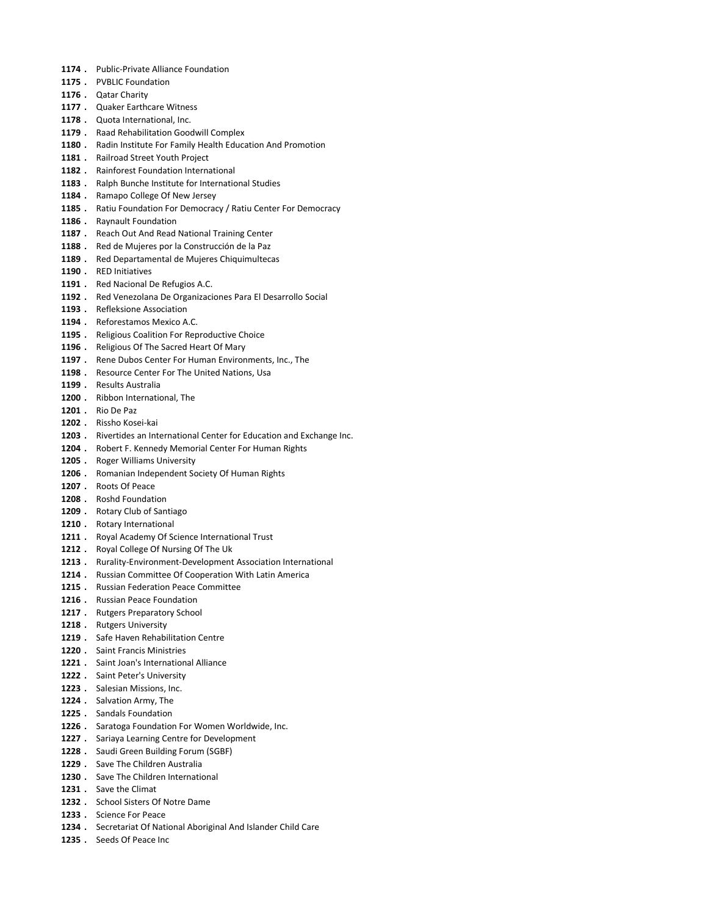- 1174 . Public-Private Alliance Foundation
- 1175 . PVBLIC Foundation
- 1176 . Qatar Charity
- 1177 . Quaker Earthcare Witness
- 1178 . Quota International, Inc.
- 1179 . Raad Rehabilitation Goodwill Complex
- 1180 . Radin Institute For Family Health Education And Promotion
- 1181 . Railroad Street Youth Project
- 1182 . Rainforest Foundation International
- 1183 . Ralph Bunche Institute for International Studies
- 1184 . Ramapo College Of New Jersey
- 1185 . Ratiu Foundation For Democracy / Ratiu Center For Democracy
- 1186 . Raynault Foundation
- 1187 . Reach Out And Read National Training Center
- 1188 . Red de Mujeres por la Construcción de la Paz
- 1189 . Red Departamental de Mujeres Chiquimultecas
- 1190 . RED Initiatives
- 1191 . Red Nacional De Refugios A.C.
- 1192 . Red Venezolana De Organizaciones Para El Desarrollo Social
- 1193 . Refleksione Association
- 1194 . Reforestamos Mexico A.C.
- 1195 . Religious Coalition For Reproductive Choice
- 1196 . Religious Of The Sacred Heart Of Mary
- 1197 . Rene Dubos Center For Human Environments, Inc., The
- 1198 . Resource Center For The United Nations, Usa
- 1199 . Results Australia
- 1200 . Ribbon International, The
- 1201 . Rio De Paz
- 1202 . Rissho Kosei-kai
- 1203 . Rivertides an International Center for Education and Exchange Inc.
- 1204 . Robert F. Kennedy Memorial Center For Human Rights
- 1205 . Roger Williams University
- 1206 . Romanian Independent Society Of Human Rights
- 1207 . Roots Of Peace
- 1208 . Roshd Foundation
- 1209 . Rotary Club of Santiago
- 1210 . Rotary International
- 1211 . Royal Academy Of Science International Trust
- 1212 . Royal College Of Nursing Of The Uk
- 1213 . Rurality-Environment-Development Association International
- 1214 . Russian Committee Of Cooperation With Latin America
- 1215 . Russian Federation Peace Committee
- 1216 . Russian Peace Foundation
- 1217 . Rutgers Preparatory School
- 1218 . Rutgers University
- 1219 . Safe Haven Rehabilitation Centre
- 1220 . Saint Francis Ministries
- 1221 . Saint Joan's International Alliance
- 1222 . Saint Peter's University
- 1223 . Salesian Missions, Inc.
- 1224 . Salvation Army, The
- 1225 . Sandals Foundation
- 1226 . Saratoga Foundation For Women Worldwide, Inc.
- 1227 . Sariaya Learning Centre for Development
- 1228 . Saudi Green Building Forum (SGBF)
- 1229 . Save The Children Australia
- 1230 . Save The Children International
- 1231 . Save the Climat
- 1232 . School Sisters Of Notre Dame
- 1233 . Science For Peace
- 1234 . Secretariat Of National Aboriginal And Islander Child Care
- 1235 . Seeds Of Peace Inc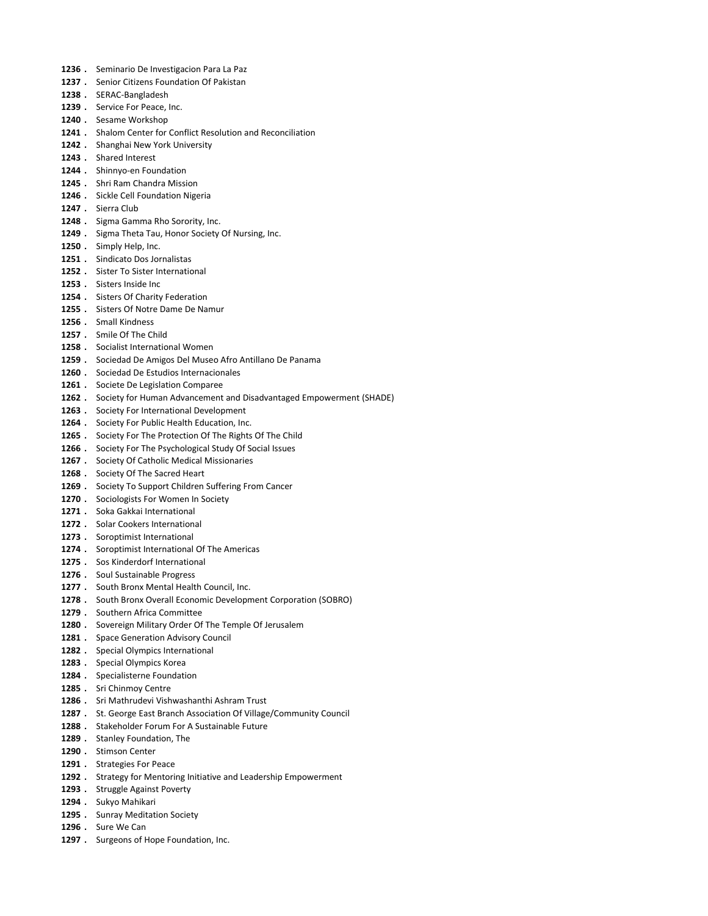- 1236 . Seminario De Investigacion Para La Paz
- 1237 . Senior Citizens Foundation Of Pakistan
- 1238 . SERAC-Bangladesh
- 1239 . Service For Peace, Inc.
- 1240 . Sesame Workshop
- 1241 . Shalom Center for Conflict Resolution and Reconciliation
- 1242 . Shanghai New York University
- 1243 . Shared Interest
- 1244 . Shinnyo-en Foundation
- 1245 . Shri Ram Chandra Mission
- 1246 . Sickle Cell Foundation Nigeria
- 1247 . Sierra Club
- 1248 . Sigma Gamma Rho Sorority, Inc.
- 1249 . Sigma Theta Tau, Honor Society Of Nursing, Inc.
- 1250 . Simply Help, Inc.
- 1251 . Sindicato Dos Jornalistas
- 1252 . Sister To Sister International
- 1253 . Sisters Inside Inc
- 1254 . Sisters Of Charity Federation
- 1255 . Sisters Of Notre Dame De Namur
- 1256 . Small Kindness
- 1257 . Smile Of The Child
- 1258 . Socialist International Women
- 1259 . Sociedad De Amigos Del Museo Afro Antillano De Panama
- 1260 . Sociedad De Estudios Internacionales
- 1261 . Societe De Legislation Comparee
- 1262 . Society for Human Advancement and Disadvantaged Empowerment (SHADE)
- 1263 . Society For International Development
- 1264 . Society For Public Health Education, Inc.
- 1265 . Society For The Protection Of The Rights Of The Child
- 1266 . Society For The Psychological Study Of Social Issues
- 1267 . Society Of Catholic Medical Missionaries
- 1268 . Society Of The Sacred Heart
- 1269 . Society To Support Children Suffering From Cancer
- 1270 . Sociologists For Women In Society
- 1271 . Soka Gakkai International
- 1272 . Solar Cookers International
- 1273 . Soroptimist International
- 1274 . Soroptimist International Of The Americas
- 1275 . Sos Kinderdorf International
- 1276 . Soul Sustainable Progress
- 1277 . South Bronx Mental Health Council, Inc.
- 1278 . South Bronx Overall Economic Development Corporation (SOBRO)
- 1279 . Southern Africa Committee
- 1280 . Sovereign Military Order Of The Temple Of Jerusalem
- 1281 . Space Generation Advisory Council
- 1282 . Special Olympics International
- 1283 . Special Olympics Korea
- 1284 . Specialisterne Foundation
- 1285 . Sri Chinmoy Centre
- 1286 . Sri Mathrudevi Vishwashanthi Ashram Trust
- 1287 . St. George East Branch Association Of Village/Community Council
- 1288 . Stakeholder Forum For A Sustainable Future
- 1289 . Stanley Foundation, The
- 1290 . Stimson Center
- 1291 . Strategies For Peace
- 1292 . Strategy for Mentoring Initiative and Leadership Empowerment
- 1293 . Struggle Against Poverty
- 1294 . Sukyo Mahikari
- 1295 . Sunray Meditation Society
- 1296 . Sure We Can
- 1297 . Surgeons of Hope Foundation, Inc.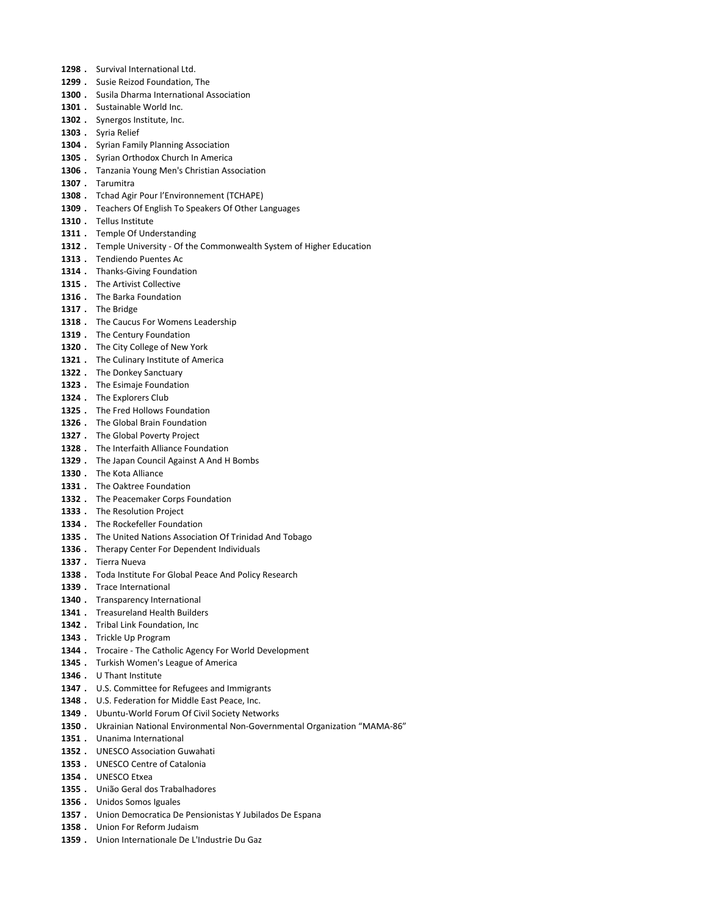- 1298 . Survival International Ltd.
- 1299 . Susie Reizod Foundation, The
- 1300 . Susila Dharma International Association
- 1301 . Sustainable World Inc.
- 1302 . Synergos Institute, Inc.
- 1303 . Syria Relief
- 1304 . Syrian Family Planning Association
- 1305 . Syrian Orthodox Church In America
- 1306 . Tanzania Young Men's Christian Association
- 1307 . Tarumitra
- 1308 . Tchad Agir Pour l'Environnement (TCHAPE)
- 1309 . Teachers Of English To Speakers Of Other Languages
- 1310 . Tellus Institute
- 1311 . Temple Of Understanding
- 1312 . Temple University Of the Commonwealth System of Higher Education
- 1313 . Tendiendo Puentes Ac
- 1314 . Thanks-Giving Foundation
- 1315 . The Artivist Collective
- 1316 . The Barka Foundation
- 1317. The Bridge
- 1318 . The Caucus For Womens Leadership
- 1319 . The Century Foundation
- 1320 . The City College of New York
- 1321 . The Culinary Institute of America
- 1322 . The Donkey Sanctuary
- 1323 . The Esimaje Foundation
- 1324 . The Explorers Club
- 1325 . The Fred Hollows Foundation
- 1326 . The Global Brain Foundation
- 1327 . The Global Poverty Project
- 1328 . The Interfaith Alliance Foundation
- 1329 . The Japan Council Against A And H Bombs
- 1330 . The Kota Alliance
- 1331 . The Oaktree Foundation
- 1332 . The Peacemaker Corps Foundation
- 1333 . The Resolution Project
- 1334 . The Rockefeller Foundation
- 1335 . The United Nations Association Of Trinidad And Tobago
- 1336 . Therapy Center For Dependent Individuals
- 1337 . Tierra Nueva
- 1338 . Toda Institute For Global Peace And Policy Research
- 1339 . Trace International
- 1340 . Transparency International
- 1341 . Treasureland Health Builders
- 1342 . Tribal Link Foundation, Inc
- 1343 . Trickle Up Program
- 1344 . Trocaire The Catholic Agency For World Development
- 1345 . Turkish Women's League of America
- 1346 . U Thant Institute
- 1347 . U.S. Committee for Refugees and Immigrants
- 1348 . U.S. Federation for Middle East Peace, Inc.
- 1349 . Ubuntu-World Forum Of Civil Society Networks
- 1350 . Ukrainian National Environmental Non-Governmental Organization "MAMA-86"
- 1351 . Unanima International
- 1352 . UNESCO Association Guwahati
- 1353 . UNESCO Centre of Catalonia
- 1354 . UNESCO Etxea
- 1355 . União Geral dos Trabalhadores
- 1356 . Unidos Somos Iguales
- 1357 . Union Democratica De Pensionistas Y Jubilados De Espana
- 1358 . Union For Reform Judaism
- 1359 . Union Internationale De L'Industrie Du Gaz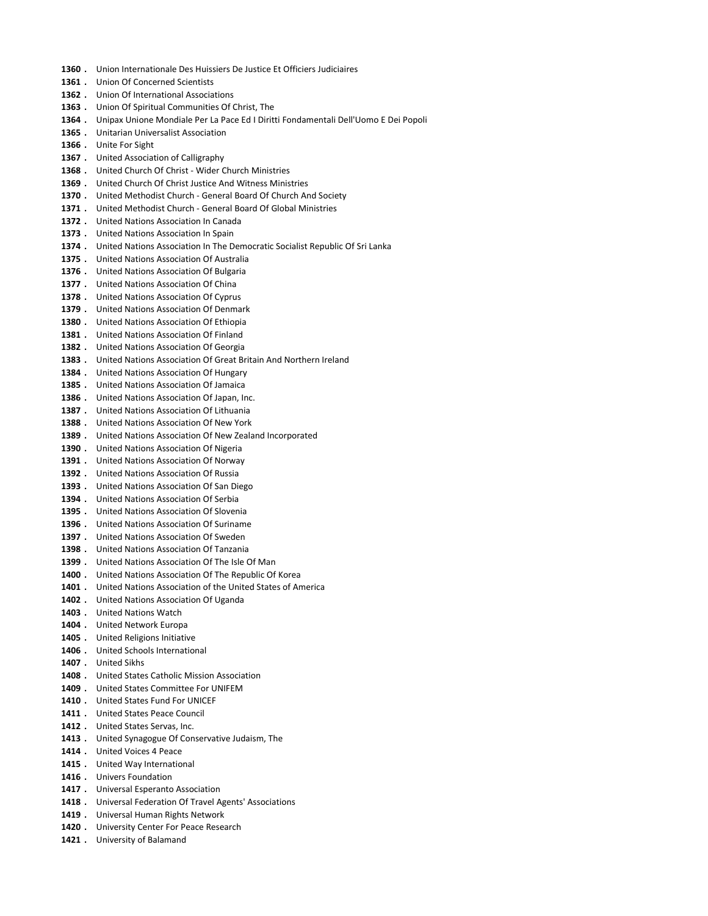- 1360 . Union Internationale Des Huissiers De Justice Et Officiers Judiciaires
- 1361 . Union Of Concerned Scientists
- 1362 . Union Of International Associations
- 1363 . Union Of Spiritual Communities Of Christ, The
- 1364 . Unipax Unione Mondiale Per La Pace Ed I Diritti Fondamentali Dell'Uomo E Dei Popoli
- 1365 . Unitarian Universalist Association
- 1366 . Unite For Sight
- 1367 . United Association of Calligraphy
- 1368 . United Church Of Christ Wider Church Ministries
- 1369 . United Church Of Christ Justice And Witness Ministries
- 1370 . United Methodist Church General Board Of Church And Society
- 1371 . United Methodist Church General Board Of Global Ministries
- 1372 . United Nations Association In Canada
- 1373 . United Nations Association In Spain
- 1374 . United Nations Association In The Democratic Socialist Republic Of Sri Lanka
- 1375 . United Nations Association Of Australia
- 1376 . United Nations Association Of Bulgaria
- 1377 . United Nations Association Of China
- 1378 . United Nations Association Of Cyprus
- 1379 . United Nations Association Of Denmark
- 1380 . United Nations Association Of Ethiopia
- 1381 . United Nations Association Of Finland
- 1382 . United Nations Association Of Georgia
- 1383 . United Nations Association Of Great Britain And Northern Ireland
- 1384 . United Nations Association Of Hungary
- 1385 . United Nations Association Of Jamaica
- 1386 . United Nations Association Of Japan, Inc.
- 1387 . United Nations Association Of Lithuania
- 1388 . United Nations Association Of New York
- 1389 . United Nations Association Of New Zealand Incorporated
- 1390 . United Nations Association Of Nigeria
- 1391 . United Nations Association Of Norway
- 1392 . United Nations Association Of Russia
- 1393 . United Nations Association Of San Diego
- 1394 . United Nations Association Of Serbia
- 1395 . United Nations Association Of Slovenia
- 1396 . United Nations Association Of Suriname
- 1397 . United Nations Association Of Sweden
- 1398 . United Nations Association Of Tanzania
- 1399 . United Nations Association Of The Isle Of Man
- 1400 . United Nations Association Of The Republic Of Korea
- 1401 . United Nations Association of the United States of America
- 1402 . United Nations Association Of Uganda
- 1403 . United Nations Watch
- 1404 . United Network Europa
- 1405 . United Religions Initiative
- 1406 . United Schools International
- 1407 . United Sikhs
- 1408 . United States Catholic Mission Association
- 1409 . United States Committee For UNIFEM
- 1410 . United States Fund For UNICEF
- 1411 . United States Peace Council
- 1412 . United States Servas, Inc.
- 1413 . United Synagogue Of Conservative Judaism, The
- 1414 . United Voices 4 Peace
- 1415 . United Way International
- 1416 . Univers Foundation
- 1417 . Universal Esperanto Association
- 1418 . Universal Federation Of Travel Agents' Associations
- 1419 . Universal Human Rights Network
- 1420 . University Center For Peace Research
- 1421 . University of Balamand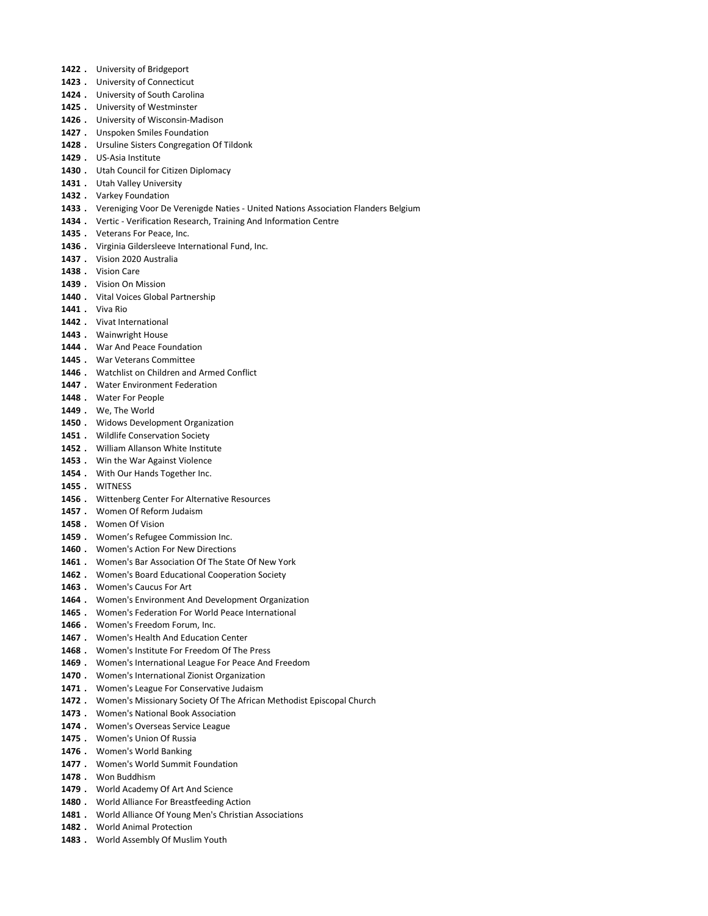- 1422 . University of Bridgeport
- 1423 . University of Connecticut
- 1424 . University of South Carolina
- 1425 . University of Westminster
- 1426 . University of Wisconsin-Madison
- 1427 . Unspoken Smiles Foundation
- 1428 . Ursuline Sisters Congregation Of Tildonk
- 1429 . US-Asia Institute
- 1430 . Utah Council for Citizen Diplomacy
- 1431 . Utah Valley University
- 1432 . Varkey Foundation
- 1433 . Vereniging Voor De Verenigde Naties United Nations Association Flanders Belgium
- 1434 . Vertic Verification Research, Training And Information Centre
- 1435 . Veterans For Peace, Inc.
- 1436 . Virginia Gildersleeve International Fund, Inc.
- 1437 . Vision 2020 Australia
- 1438 . Vision Care
- 1439 . Vision On Mission
- 1440 . Vital Voices Global Partnership
- 1441 . Viva Rio
- 1442 . Vivat International
- 1443 . Wainwright House
- 1444 . War And Peace Foundation
- 1445 . War Veterans Committee
- 1446 . Watchlist on Children and Armed Conflict
- 1447 . Water Environment Federation
- 1448 . Water For People
- 1449 . We, The World
- 1450 . Widows Development Organization
- 1451 . Wildlife Conservation Society
- 1452 . William Allanson White Institute
- 1453 . Win the War Against Violence
- 1454 . With Our Hands Together Inc.
- 1455 . WITNESS
- 1456 . Wittenberg Center For Alternative Resources
- 1457 . Women Of Reform Judaism
- 1458 . Women Of Vision
- 1459 . Women's Refugee Commission Inc.
- 1460 . Women's Action For New Directions
- 1461 . Women's Bar Association Of The State Of New York
- 1462 . Women's Board Educational Cooperation Society
- 1463 . Women's Caucus For Art
- 1464 . Women's Environment And Development Organization
- 1465 . Women's Federation For World Peace International
- 1466 . Women's Freedom Forum, Inc.
- 1467 . Women's Health And Education Center
- 1468 . Women's Institute For Freedom Of The Press
- 1469 . Women's International League For Peace And Freedom
- 1470 . Women's International Zionist Organization
- 1471 . Women's League For Conservative Judaism
- 1472 . Women's Missionary Society Of The African Methodist Episcopal Church
- 1473 . Women's National Book Association
- 1474 . Women's Overseas Service League
- 1475 . Women's Union Of Russia
- 1476 . Women's World Banking
- 1477 . Women's World Summit Foundation
- 1478 . Won Buddhism
- 1479 . World Academy Of Art And Science
- 1480 . World Alliance For Breastfeeding Action
- 1481 . World Alliance Of Young Men's Christian Associations
- 1482 . World Animal Protection
- 1483 . World Assembly Of Muslim Youth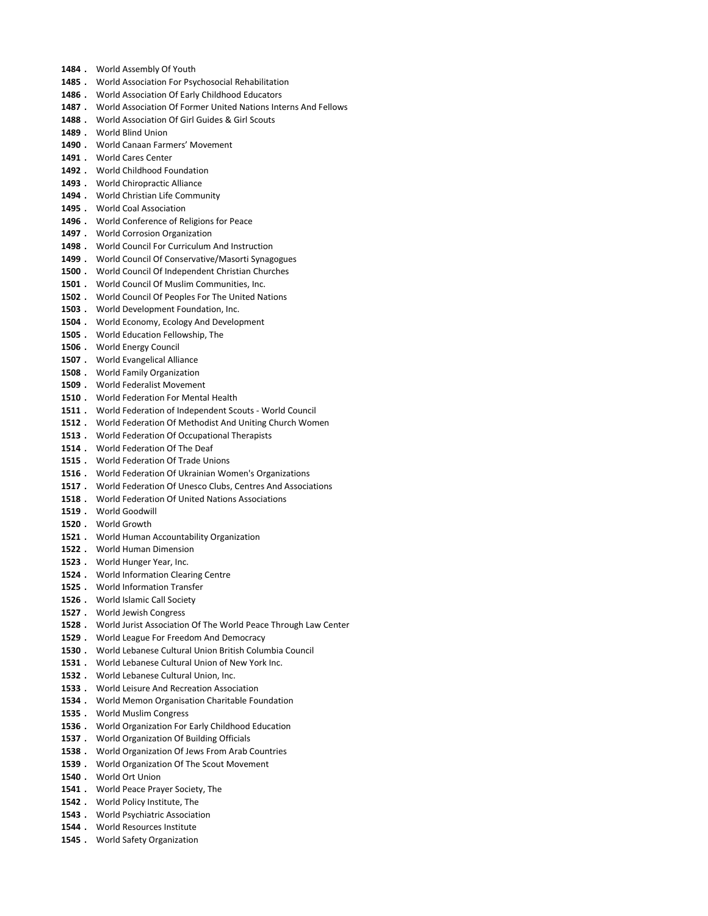- 1484 . World Assembly Of Youth
- 1485 . World Association For Psychosocial Rehabilitation
- 1486 . World Association Of Early Childhood Educators
- 1487 . World Association Of Former United Nations Interns And Fellows
- 1488 . World Association Of Girl Guides & Girl Scouts
- 1489 . World Blind Union
- 1490 . World Canaan Farmers' Movement
- 1491 . World Cares Center
- 1492 . World Childhood Foundation
- 1493 . World Chiropractic Alliance
- 1494 . World Christian Life Community
- 1495 . World Coal Association
- 1496 . World Conference of Religions for Peace
- 1497 . World Corrosion Organization
- 1498 . World Council For Curriculum And Instruction
- 1499 . World Council Of Conservative/Masorti Synagogues
- 1500 . World Council Of Independent Christian Churches
- 1501 . World Council Of Muslim Communities, Inc.
- 1502 . World Council Of Peoples For The United Nations
- 1503 . World Development Foundation, Inc.
- 1504 . World Economy, Ecology And Development
- 1505 . World Education Fellowship, The
- 1506 . World Energy Council
- 1507 . World Evangelical Alliance
- 1508 . World Family Organization
- 1509 . World Federalist Movement
- 1510 . World Federation For Mental Health
- 1511 . World Federation of Independent Scouts World Council
- 1512 . World Federation Of Methodist And Uniting Church Women
- 1513 . World Federation Of Occupational Therapists
- 1514 . World Federation Of The Deaf
- 1515 . World Federation Of Trade Unions
- 1516 . World Federation Of Ukrainian Women's Organizations
- 1517 . World Federation Of Unesco Clubs, Centres And Associations
- 1518 . World Federation Of United Nations Associations
- 1519 . World Goodwill
- 1520 . World Growth
- 1521 . World Human Accountability Organization
- 1522 . World Human Dimension
- 1523 . World Hunger Year, Inc.
- 1524 . World Information Clearing Centre
- 1525 . World Information Transfer
- 1526 . World Islamic Call Society
- 1527 . World Jewish Congress
- 1528 . World Jurist Association Of The World Peace Through Law Center
- 1529 . World League For Freedom And Democracy
- 1530 . World Lebanese Cultural Union British Columbia Council
- 1531 . World Lebanese Cultural Union of New York Inc.
- 1532 . World Lebanese Cultural Union, Inc.
- 1533 . World Leisure And Recreation Association
- 1534 . World Memon Organisation Charitable Foundation
- 1535 . World Muslim Congress
- 1536 . World Organization For Early Childhood Education
- 1537 . World Organization Of Building Officials
- 1538 . World Organization Of Jews From Arab Countries
- 1539 . World Organization Of The Scout Movement
- 1540 . World Ort Union
- 1541 . World Peace Prayer Society, The
- 1542 . World Policy Institute, The
- 1543 . World Psychiatric Association
- 1544 . World Resources Institute
- 1545 . World Safety Organization